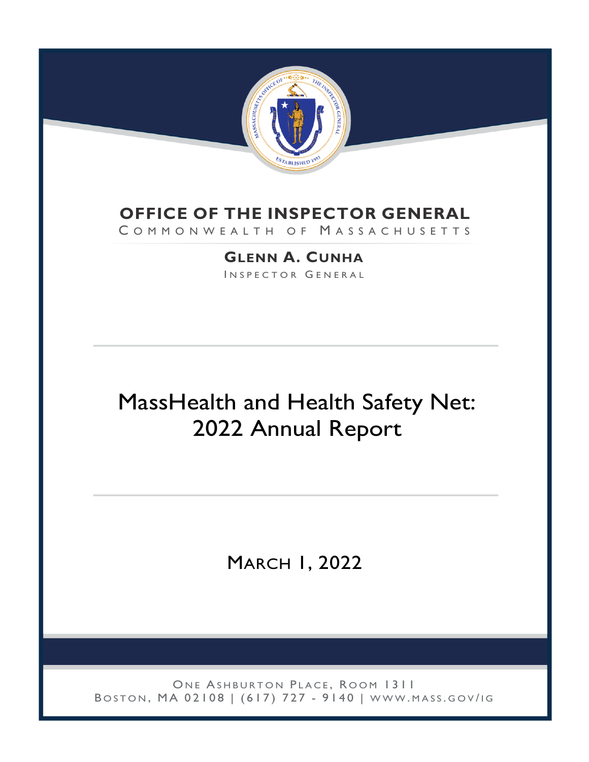

## **OFFICE OF THE INSPECTOR GENERAL**

COMMONWEALTH OF MASSACHUSETTS

**GLENN A. CUNHA** INSPECTOR GENERAL

# MassHealth and Health Safety Net: 2022 Annual Report

MARCH 1, 2022

ONE ASHBURTON PLACE, ROOM 1311 BOSTON, MA 02108 | (617) 727 - 9140 | WWW.MASS.GOV/IG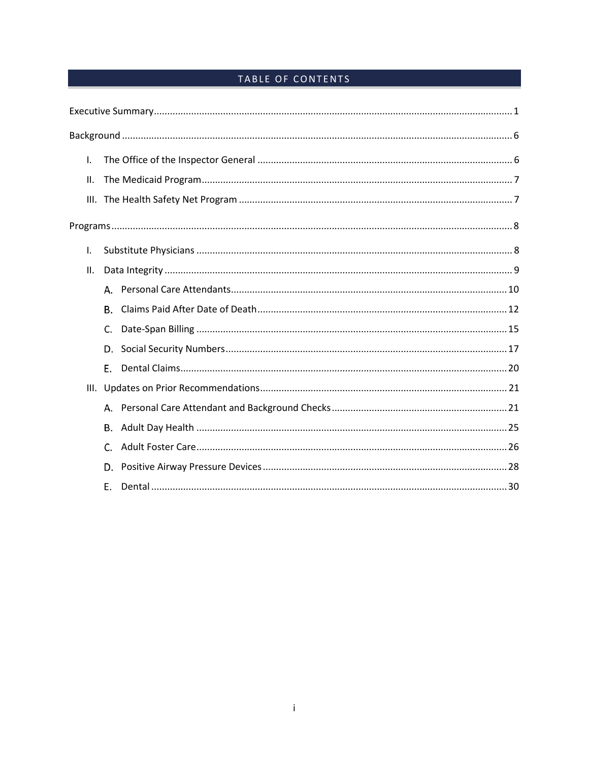### TABLE OF CONTENTS

| I.  |    |  |  |  |  |  |  |
|-----|----|--|--|--|--|--|--|
| Ш.  |    |  |  |  |  |  |  |
|     |    |  |  |  |  |  |  |
|     |    |  |  |  |  |  |  |
| Τ.  |    |  |  |  |  |  |  |
| II. |    |  |  |  |  |  |  |
|     | Α. |  |  |  |  |  |  |
|     | В. |  |  |  |  |  |  |
|     | C. |  |  |  |  |  |  |
|     | D. |  |  |  |  |  |  |
|     | Е. |  |  |  |  |  |  |
|     |    |  |  |  |  |  |  |
|     |    |  |  |  |  |  |  |
|     | В. |  |  |  |  |  |  |
|     | C. |  |  |  |  |  |  |
|     | D. |  |  |  |  |  |  |
|     | Е. |  |  |  |  |  |  |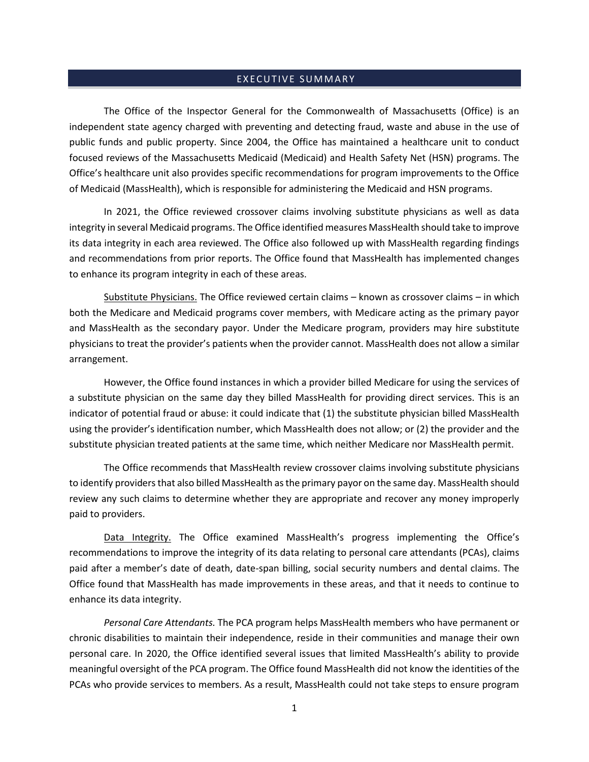#### <span id="page-2-0"></span>EXECUTIVE SUMMARY

The Office of the Inspector General for the Commonwealth of Massachusetts (Office) is an independent state agency charged with preventing and detecting fraud, waste and abuse in the use of public funds and public property. Since 2004, the Office has maintained a healthcare unit to conduct focused reviews of the Massachusetts Medicaid (Medicaid) and Health Safety Net (HSN) programs. The Office's healthcare unit also provides specific recommendations for program improvements to the Office of Medicaid (MassHealth), which is responsible for administering the Medicaid and HSN programs.

In 2021, the Office reviewed crossover claims involving substitute physicians as well as data integrity in several Medicaid programs. The Office identified measures MassHealth should take to improve its data integrity in each area reviewed. The Office also followed up with MassHealth regarding findings and recommendations from prior reports. The Office found that MassHealth has implemented changes to enhance its program integrity in each of these areas.

Substitute Physicians. The Office reviewed certain claims – known as crossover claims – in which both the Medicare and Medicaid programs cover members, with Medicare acting as the primary payor and MassHealth as the secondary payor. Under the Medicare program, providers may hire substitute physicians to treat the provider's patients when the provider cannot. MassHealth does not allow a similar arrangement.

However, the Office found instances in which a provider billed Medicare for using the services of a substitute physician on the same day they billed MassHealth for providing direct services. This is an indicator of potential fraud or abuse: it could indicate that (1) the substitute physician billed MassHealth using the provider's identification number, which MassHealth does not allow; or (2) the provider and the substitute physician treated patients at the same time, which neither Medicare nor MassHealth permit.

The Office recommends that MassHealth review crossover claims involving substitute physicians to identify providers that also billed MassHealth as the primary payor on the same day. MassHealth should review any such claims to determine whether they are appropriate and recover any money improperly paid to providers.

Data Integrity. The Office examined MassHealth's progress implementing the Office's recommendations to improve the integrity of its data relating to personal care attendants (PCAs), claims paid after a member's date of death, date-span billing, social security numbers and dental claims. The Office found that MassHealth has made improvements in these areas, and that it needs to continue to enhance its data integrity.

*Personal Care Attendants.* The PCA program helps MassHealth members who have permanent or chronic disabilities to maintain their independence, reside in their communities and manage their own personal care. In 2020, the Office identified several issues that limited MassHealth's ability to provide meaningful oversight of the PCA program. The Office found MassHealth did not know the identities of the PCAs who provide services to members. As a result, MassHealth could not take steps to ensure program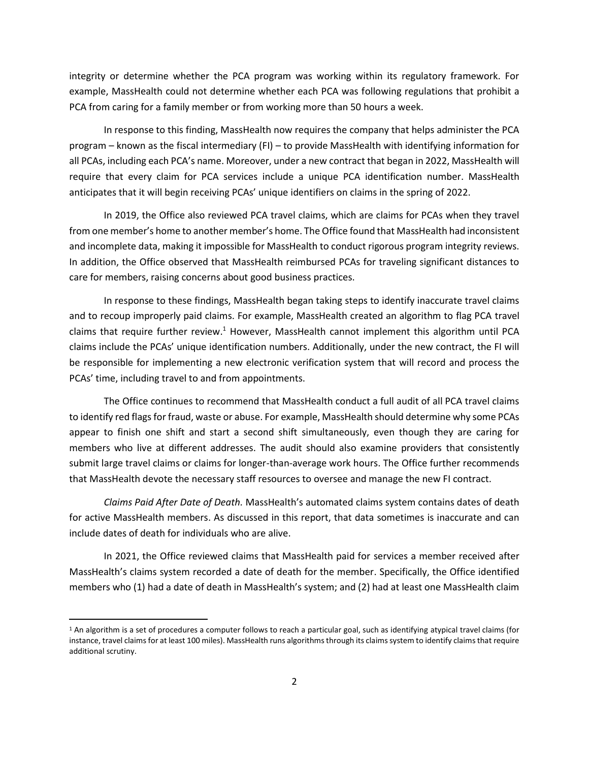integrity or determine whether the PCA program was working within its regulatory framework. For example, MassHealth could not determine whether each PCA was following regulations that prohibit a PCA from caring for a family member or from working more than 50 hours a week.

In response to this finding, MassHealth now requires the company that helps administer the PCA program – known as the fiscal intermediary (FI) – to provide MassHealth with identifying information for all PCAs, including each PCA's name. Moreover, under a new contract that began in 2022, MassHealth will require that every claim for PCA services include a unique PCA identification number. MassHealth anticipates that it will begin receiving PCAs' unique identifiers on claims in the spring of 2022.

In 2019, the Office also reviewed PCA travel claims, which are claims for PCAs when they travel from one member's home to another member's home. The Office found that MassHealth had inconsistent and incomplete data, making it impossible for MassHealth to conduct rigorous program integrity reviews. In addition, the Office observed that MassHealth reimbursed PCAs for traveling significant distances to care for members, raising concerns about good business practices.

In response to these findings, MassHealth began taking steps to identify inaccurate travel claims and to recoup improperly paid claims. For example, MassHealth created an algorithm to flag PCA travel claims that require further review.<sup>1</sup> However, MassHealth cannot implement this algorithm until PCA claims include the PCAs' unique identification numbers. Additionally, under the new contract, the FI will be responsible for implementing a new electronic verification system that will record and process the PCAs' time, including travel to and from appointments.

The Office continues to recommend that MassHealth conduct a full audit of all PCA travel claims to identify red flags for fraud, waste or abuse. For example, MassHealth should determine why some PCAs appear to finish one shift and start a second shift simultaneously, even though they are caring for members who live at different addresses. The audit should also examine providers that consistently submit large travel claims or claims for longer-than-average work hours. The Office further recommends that MassHealth devote the necessary staff resources to oversee and manage the new FI contract.

*Claims Paid After Date of Death.* MassHealth's automated claims system contains dates of death for active MassHealth members. As discussed in this report, that data sometimes is inaccurate and can include dates of death for individuals who are alive.

In 2021, the Office reviewed claims that MassHealth paid for services a member received after MassHealth's claims system recorded a date of death for the member. Specifically, the Office identified members who (1) had a date of death in MassHealth's system; and (2) had at least one MassHealth claim

<sup>&</sup>lt;sup>1</sup> An algorithm is a set of procedures a computer follows to reach a particular goal, such as identifying atypical travel claims (for instance, travel claims for at least 100 miles). MassHealth runs algorithms through its claims system to identify claims that require additional scrutiny.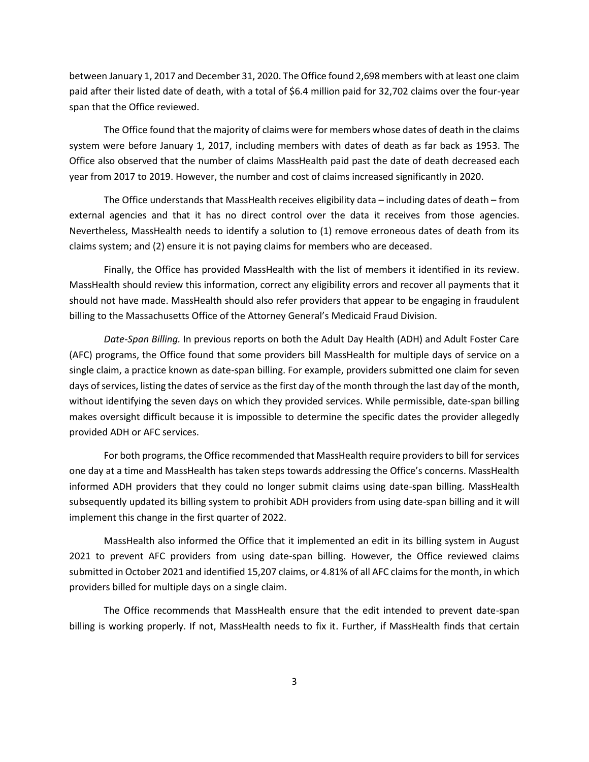between January 1, 2017 and December 31, 2020. The Office found 2,698 members with at least one claim paid after their listed date of death, with a total of \$6.4 million paid for 32,702 claims over the four-year span that the Office reviewed.

The Office found that the majority of claims were for members whose dates of death in the claims system were before January 1, 2017, including members with dates of death as far back as 1953. The Office also observed that the number of claims MassHealth paid past the date of death decreased each year from 2017 to 2019. However, the number and cost of claims increased significantly in 2020.

The Office understands that MassHealth receives eligibility data – including dates of death – from external agencies and that it has no direct control over the data it receives from those agencies. Nevertheless, MassHealth needs to identify a solution to (1) remove erroneous dates of death from its claims system; and (2) ensure it is not paying claims for members who are deceased.

Finally, the Office has provided MassHealth with the list of members it identified in its review. MassHealth should review this information, correct any eligibility errors and recover all payments that it should not have made. MassHealth should also refer providers that appear to be engaging in fraudulent billing to the Massachusetts Office of the Attorney General's Medicaid Fraud Division.

*Date-Span Billing.* In previous reports on both the Adult Day Health (ADH) and Adult Foster Care (AFC) programs, the Office found that some providers bill MassHealth for multiple days of service on a single claim, a practice known as date-span billing. For example, providers submitted one claim for seven days of services, listing the dates of service as the first day of the month through the last day of the month, without identifying the seven days on which they provided services. While permissible, date-span billing makes oversight difficult because it is impossible to determine the specific dates the provider allegedly provided ADH or AFC services.

For both programs, the Office recommended that MassHealth require providers to bill for services one day at a time and MassHealth has taken steps towards addressing the Office's concerns. MassHealth informed ADH providers that they could no longer submit claims using date-span billing. MassHealth subsequently updated its billing system to prohibit ADH providers from using date-span billing and it will implement this change in the first quarter of 2022.

MassHealth also informed the Office that it implemented an edit in its billing system in August 2021 to prevent AFC providers from using date-span billing. However, the Office reviewed claims submitted in October 2021 and identified 15,207 claims, or 4.81% of all AFC claims for the month, in which providers billed for multiple days on a single claim.

The Office recommends that MassHealth ensure that the edit intended to prevent date-span billing is working properly. If not, MassHealth needs to fix it. Further, if MassHealth finds that certain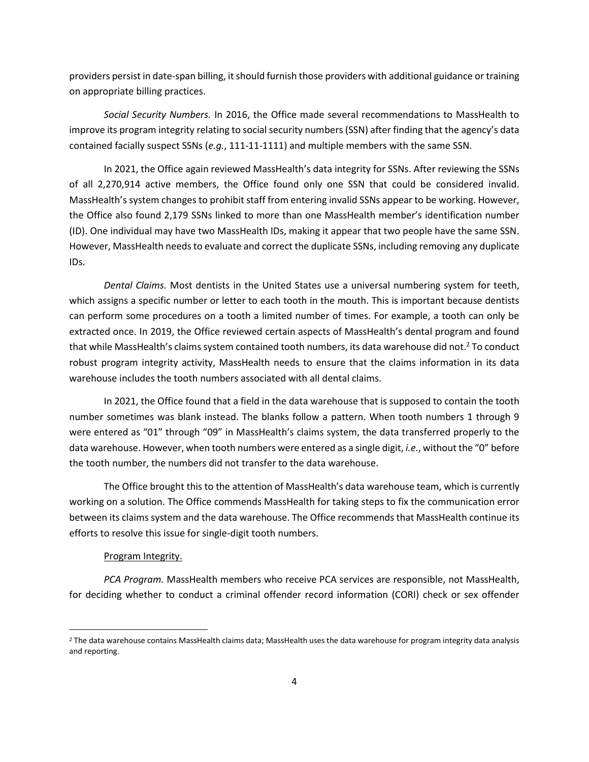providers persist in date-span billing, it should furnish those providers with additional guidance or training on appropriate billing practices.

*Social Security Numbers.* In 2016, the Office made several recommendations to MassHealth to improve its program integrity relating to social security numbers (SSN) after finding that the agency's data contained facially suspect SSNs (*e.g.*, 111-11-1111) and multiple members with the same SSN.

In 2021, the Office again reviewed MassHealth's data integrity for SSNs. After reviewing the SSNs of all 2,270,914 active members, the Office found only one SSN that could be considered invalid. MassHealth's system changes to prohibit staff from entering invalid SSNs appear to be working. However, the Office also found 2,179 SSNs linked to more than one MassHealth member's identification number (ID). One individual may have two MassHealth IDs, making it appear that two people have the same SSN. However, MassHealth needs to evaluate and correct the duplicate SSNs, including removing any duplicate IDs.

*Dental Claims.* Most dentists in the United States use a universal numbering system for teeth, which assigns a specific number or letter to each tooth in the mouth. This is important because dentists can perform some procedures on a tooth a limited number of times. For example, a tooth can only be extracted once. In 2019, the Office reviewed certain aspects of MassHealth's dental program and found that while MassHealth's claims system contained tooth numbers, its data warehouse did not.<sup>2</sup> To conduct robust program integrity activity, MassHealth needs to ensure that the claims information in its data warehouse includes the tooth numbers associated with all dental claims.

In 2021, the Office found that a field in the data warehouse that is supposed to contain the tooth number sometimes was blank instead. The blanks follow a pattern. When tooth numbers 1 through 9 were entered as "01" through "09" in MassHealth's claims system, the data transferred properly to the data warehouse. However, when tooth numbers were entered as a single digit, *i.e.*, without the "0" before the tooth number, the numbers did not transfer to the data warehouse.

The Office brought this to the attention of MassHealth's data warehouse team, which is currently working on a solution. The Office commends MassHealth for taking steps to fix the communication error between its claims system and the data warehouse. The Office recommends that MassHealth continue its efforts to resolve this issue for single-digit tooth numbers.

#### Program Integrity.

*PCA Program.* MassHealth members who receive PCA services are responsible, not MassHealth, for deciding whether to conduct a criminal offender record information (CORI) check or sex offender

<sup>&</sup>lt;sup>2</sup> The data warehouse contains MassHealth claims data; MassHealth uses the data warehouse for program integrity data analysis and reporting.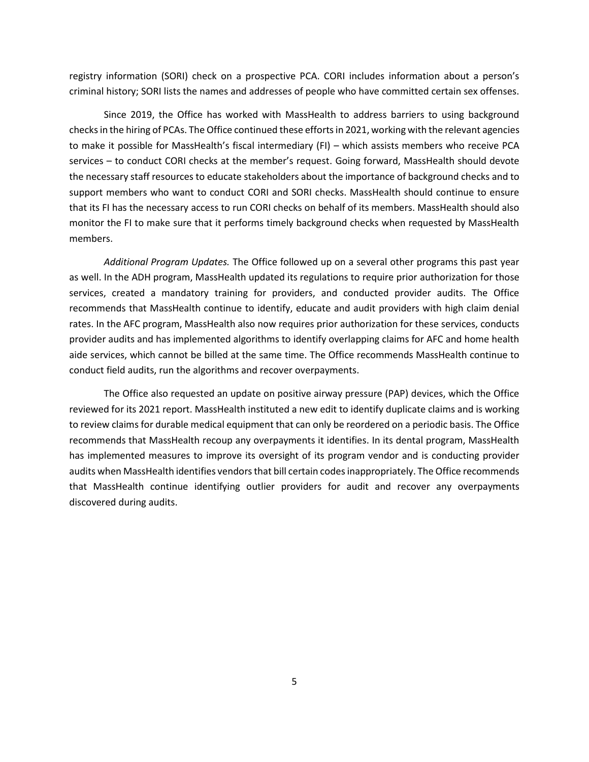registry information (SORI) check on a prospective PCA. CORI includes information about a person's criminal history; SORI lists the names and addresses of people who have committed certain sex offenses.

Since 2019, the Office has worked with MassHealth to address barriers to using background checks in the hiring of PCAs. The Office continued these efforts in 2021, working with the relevant agencies to make it possible for MassHealth's fiscal intermediary (FI) – which assists members who receive PCA services – to conduct CORI checks at the member's request. Going forward, MassHealth should devote the necessary staff resources to educate stakeholders about the importance of background checks and to support members who want to conduct CORI and SORI checks. MassHealth should continue to ensure that its FI has the necessary access to run CORI checks on behalf of its members. MassHealth should also monitor the FI to make sure that it performs timely background checks when requested by MassHealth members.

*Additional Program Updates.* The Office followed up on a several other programs this past year as well. In the ADH program, MassHealth updated its regulations to require prior authorization for those services, created a mandatory training for providers, and conducted provider audits. The Office recommends that MassHealth continue to identify, educate and audit providers with high claim denial rates. In the AFC program, MassHealth also now requires prior authorization for these services, conducts provider audits and has implemented algorithms to identify overlapping claims for AFC and home health aide services, which cannot be billed at the same time. The Office recommends MassHealth continue to conduct field audits, run the algorithms and recover overpayments.

The Office also requested an update on positive airway pressure (PAP) devices, which the Office reviewed for its 2021 report. MassHealth instituted a new edit to identify duplicate claims and is working to review claims for durable medical equipment that can only be reordered on a periodic basis. The Office recommends that MassHealth recoup any overpayments it identifies. In its dental program, MassHealth has implemented measures to improve its oversight of its program vendor and is conducting provider audits when MassHealth identifies vendors that bill certain codes inappropriately. The Office recommends that MassHealth continue identifying outlier providers for audit and recover any overpayments discovered during audits.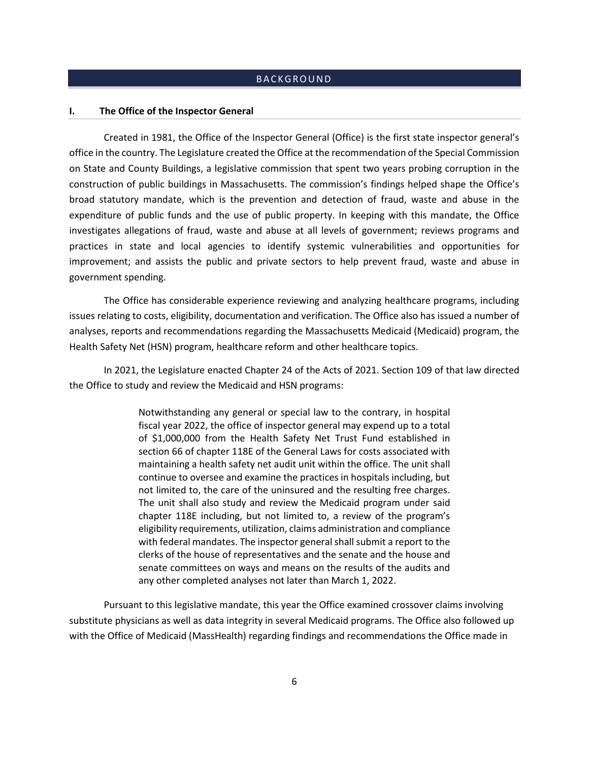#### **BACKGROUND**

#### <span id="page-7-1"></span><span id="page-7-0"></span>**I. The Office of the Inspector General**

Created in 1981, the Office of the Inspector General (Office) is the first state inspector general's office in the country. The Legislature created the Office at the recommendation of the Special Commission on State and County Buildings, a legislative commission that spent two years probing corruption in the construction of public buildings in Massachusetts. The commission's findings helped shape the Office's broad statutory mandate, which is the prevention and detection of fraud, waste and abuse in the expenditure of public funds and the use of public property. In keeping with this mandate, the Office investigates allegations of fraud, waste and abuse at all levels of government; reviews programs and practices in state and local agencies to identify systemic vulnerabilities and opportunities for improvement; and assists the public and private sectors to help prevent fraud, waste and abuse in government spending.

The Office has considerable experience reviewing and analyzing healthcare programs, including issues relating to costs, eligibility, documentation and verification. The Office also has issued a number of analyses, reports and recommendations regarding the Massachusetts Medicaid (Medicaid) program, the Health Safety Net (HSN) program, healthcare reform and other healthcare topics.

In 2021, the Legislature enacted Chapter 24 of the Acts of 2021. Section 109 of that law directed the Office to study and review the Medicaid and HSN programs:

> Notwithstanding any general or special law to the contrary, in hospital fiscal year 2022, the office of inspector general may expend up to a total of \$1,000,000 from the Health Safety Net Trust Fund established in section 66 of chapter 118E of the General Laws for costs associated with maintaining a health safety net audit unit within the office. The unit shall continue to oversee and examine the practices in hospitals including, but not limited to, the care of the uninsured and the resulting free charges. The unit shall also study and review the Medicaid program under said chapter 118E including, but not limited to, a review of the program's eligibility requirements, utilization, claims administration and compliance with federal mandates. The inspector general shall submit a report to the clerks of the house of representatives and the senate and the house and senate committees on ways and means on the results of the audits and any other completed analyses not later than March 1, 2022.

Pursuant to this legislative mandate, this year the Office examined crossover claims involving substitute physicians as well as data integrity in several Medicaid programs. The Office also followed up with the Office of Medicaid (MassHealth) regarding findings and recommendations the Office made in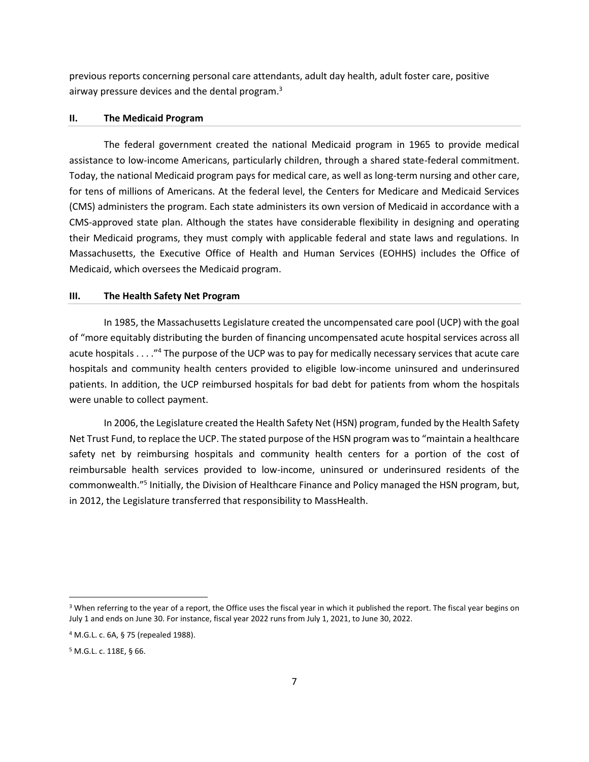previous reports concerning personal care attendants, adult day health, adult foster care, positive airway pressure devices and the dental program.<sup>3</sup>

#### <span id="page-8-0"></span>**II. The Medicaid Program**

The federal government created the national Medicaid program in 1965 to provide medical assistance to low-income Americans, particularly children, through a shared state-federal commitment. Today, the national Medicaid program pays for medical care, as well as long-term nursing and other care, for tens of millions of Americans. At the federal level, the Centers for Medicare and Medicaid Services (CMS) administers the program. Each state administers its own version of Medicaid in accordance with a CMS-approved state plan. Although the states have considerable flexibility in designing and operating their Medicaid programs, they must comply with applicable federal and state laws and regulations. In Massachusetts, the Executive Office of Health and Human Services (EOHHS) includes the Office of Medicaid, which oversees the Medicaid program.

#### <span id="page-8-1"></span>**III. The Health Safety Net Program**

In 1985, the Massachusetts Legislature created the uncompensated care pool (UCP) with the goal of "more equitably distributing the burden of financing uncompensated acute hospital services across all acute hospitals . . . ."<sup>4</sup> The purpose of the UCP was to pay for medically necessary services that acute care hospitals and community health centers provided to eligible low-income uninsured and underinsured patients. In addition, the UCP reimbursed hospitals for bad debt for patients from whom the hospitals were unable to collect payment.

In 2006, the Legislature created the Health Safety Net (HSN) program, funded by the Health Safety Net Trust Fund, to replace the UCP. The stated purpose of the HSN program was to "maintain a healthcare safety net by reimbursing hospitals and community health centers for a portion of the cost of reimbursable health services provided to low-income, uninsured or underinsured residents of the commonwealth."<sup>5</sup> Initially, the Division of Healthcare Finance and Policy managed the HSN program, but, in 2012, the Legislature transferred that responsibility to MassHealth.

<sup>&</sup>lt;sup>3</sup> When referring to the year of a report, the Office uses the fiscal year in which it published the report. The fiscal year begins on July 1 and ends on June 30. For instance, fiscal year 2022 runs from July 1, 2021, to June 30, 2022.

<sup>4</sup> M.G.L. c. 6A, § 75 (repealed 1988).

<sup>5</sup> M.G.L. c. 118E, § 66.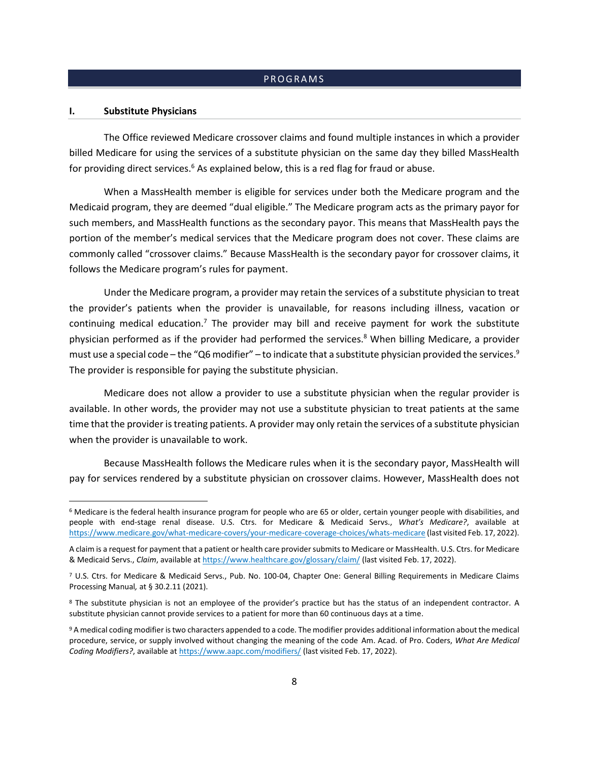#### **PROGRAMS**

#### <span id="page-9-1"></span><span id="page-9-0"></span>**I. Substitute Physicians**

The Office reviewed Medicare crossover claims and found multiple instances in which a provider billed Medicare for using the services of a substitute physician on the same day they billed MassHealth for providing direct services. $6$  As explained below, this is a red flag for fraud or abuse.

When a MassHealth member is eligible for services under both the Medicare program and the Medicaid program, they are deemed "dual eligible." The Medicare program acts as the primary payor for such members, and MassHealth functions as the secondary payor. This means that MassHealth pays the portion of the member's medical services that the Medicare program does not cover. These claims are commonly called "crossover claims." Because MassHealth is the secondary payor for crossover claims, it follows the Medicare program's rules for payment.

Under the Medicare program, a provider may retain the services of a substitute physician to treat the provider's patients when the provider is unavailable, for reasons including illness, vacation or continuing medical education.<sup>7</sup> The provider may bill and receive payment for work the substitute physician performed as if the provider had performed the services.<sup>8</sup> When billing Medicare, a provider must use a special code – the "Q6 modifier" – to indicate that a substitute physician provided the services.<sup>9</sup> The provider is responsible for paying the substitute physician.

Medicare does not allow a provider to use a substitute physician when the regular provider is available. In other words, the provider may not use a substitute physician to treat patients at the same time that the provider is treating patients. A provider may only retain the services of a substitute physician when the provider is unavailable to work.

Because MassHealth follows the Medicare rules when it is the secondary payor, MassHealth will pay for services rendered by a substitute physician on crossover claims. However, MassHealth does not

<sup>6</sup> Medicare is the federal health insurance program for people who are 65 or older, certain younger people with disabilities, and people with end-stage renal disease. U.S. Ctrs. for Medicare & Medicaid Servs., *What's Medicare?*, available at <https://www.medicare.gov/what-medicare-covers/your-medicare-coverage-choices/whats-medicare> (last visited Feb. 17, 2022).

A claim is a request for payment that a patient or health care provider submits to Medicare or MassHealth. U.S. Ctrs. for Medicare & Medicaid Servs., *Claim*, available at <https://www.healthcare.gov/glossary/claim/> (last visited Feb. 17, 2022).

<sup>7</sup> U.S. Ctrs. for Medicare & Medicaid Servs., Pub. No. 100-04, Chapter One: General Billing Requirements in Medicare Claims Processing Manual*,* at § 30.2.11 (2021).

<sup>8</sup> The substitute physician is not an employee of the provider's practice but has the status of an independent contractor. A substitute physician cannot provide services to a patient for more than 60 continuous days at a time.

<sup>9</sup> A medical coding modifier is two characters appended to a code. The modifier provides additional information about the medical procedure, service, or supply involved without changing the meaning of the code Am. Acad. of Pro. Coders, *What Are Medical Coding Modifiers?*, available a[t https://www.aapc.com/modifiers/](https://www.aapc.com/modifiers/) (last visited Feb. 17, 2022).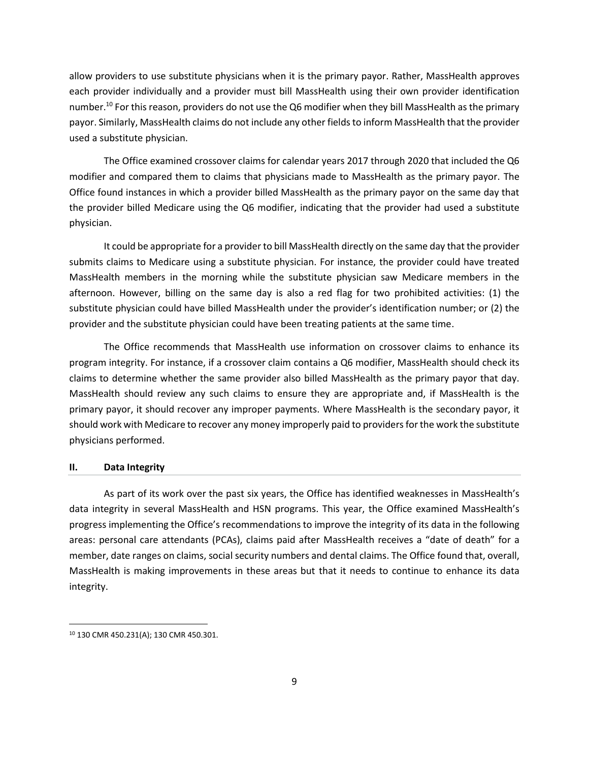allow providers to use substitute physicians when it is the primary payor. Rather, MassHealth approves each provider individually and a provider must bill MassHealth using their own provider identification number.<sup>10</sup> For this reason, providers do not use the Q6 modifier when they bill MassHealth as the primary payor. Similarly, MassHealth claims do not include any other fields to inform MassHealth that the provider used a substitute physician.

The Office examined crossover claims for calendar years 2017 through 2020 that included the Q6 modifier and compared them to claims that physicians made to MassHealth as the primary payor. The Office found instances in which a provider billed MassHealth as the primary payor on the same day that the provider billed Medicare using the Q6 modifier, indicating that the provider had used a substitute physician.

It could be appropriate for a provider to bill MassHealth directly on the same day that the provider submits claims to Medicare using a substitute physician. For instance, the provider could have treated MassHealth members in the morning while the substitute physician saw Medicare members in the afternoon. However, billing on the same day is also a red flag for two prohibited activities: (1) the substitute physician could have billed MassHealth under the provider's identification number; or (2) the provider and the substitute physician could have been treating patients at the same time.

The Office recommends that MassHealth use information on crossover claims to enhance its program integrity. For instance, if a crossover claim contains a Q6 modifier, MassHealth should check its claims to determine whether the same provider also billed MassHealth as the primary payor that day. MassHealth should review any such claims to ensure they are appropriate and, if MassHealth is the primary payor, it should recover any improper payments. Where MassHealth is the secondary payor, it should work with Medicare to recover any money improperly paid to providers for the work the substitute physicians performed.

#### <span id="page-10-0"></span>**II. Data Integrity**

As part of its work over the past six years, the Office has identified weaknesses in MassHealth's data integrity in several MassHealth and HSN programs. This year, the Office examined MassHealth's progress implementing the Office's recommendations to improve the integrity of its data in the following areas: personal care attendants (PCAs), claims paid after MassHealth receives a "date of death" for a member, date ranges on claims, social security numbers and dental claims. The Office found that, overall, MassHealth is making improvements in these areas but that it needs to continue to enhance its data integrity.

<sup>10</sup> 130 CMR 450.231(A); 130 CMR 450.301.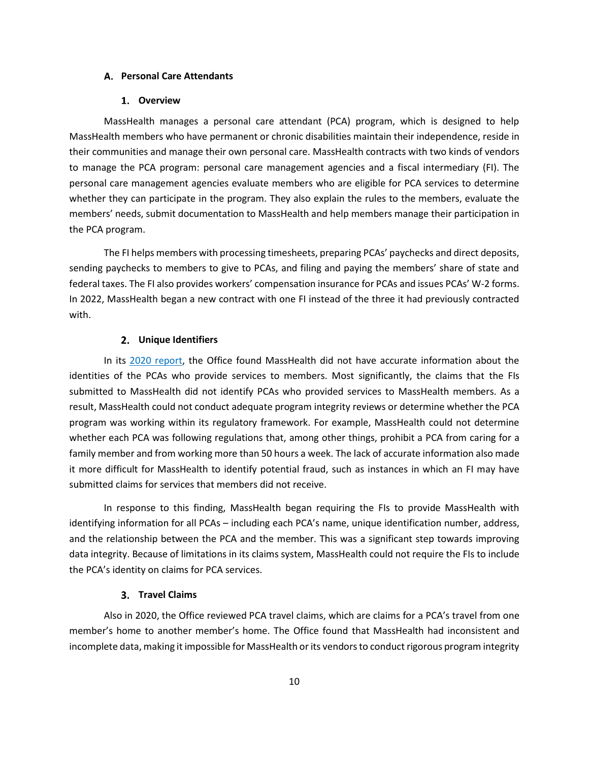#### <span id="page-11-0"></span>**Personal Care Attendants**

#### **Overview**

MassHealth manages a personal care attendant (PCA) program, which is designed to help MassHealth members who have permanent or chronic disabilities maintain their independence, reside in their communities and manage their own personal care. MassHealth contracts with two kinds of vendors to manage the PCA program: personal care management agencies and a fiscal intermediary (FI). The personal care management agencies evaluate members who are eligible for PCA services to determine whether they can participate in the program. They also explain the rules to the members, evaluate the members' needs, submit documentation to MassHealth and help members manage their participation in the PCA program.

The FI helps members with processing timesheets, preparing PCAs' paychecks and direct deposits, sending paychecks to members to give to PCAs, and filing and paying the members' share of state and federal taxes. The FI also provides workers' compensation insurance for PCAs and issues PCAs' W-2 forms. In 2022, MassHealth began a new contract with one FI instead of the three it had previously contracted with.

#### **Unique Identifiers**

In its [2020 report,](https://www.mass.gov/doc/masshealth-and-health-safety-net-annual-report-february-2020/download) the Office found MassHealth did not have accurate information about the identities of the PCAs who provide services to members. Most significantly, the claims that the FIs submitted to MassHealth did not identify PCAs who provided services to MassHealth members. As a result, MassHealth could not conduct adequate program integrity reviews or determine whether the PCA program was working within its regulatory framework. For example, MassHealth could not determine whether each PCA was following regulations that, among other things, prohibit a PCA from caring for a family member and from working more than 50 hours a week. The lack of accurate information also made it more difficult for MassHealth to identify potential fraud, such as instances in which an FI may have submitted claims for services that members did not receive.

In response to this finding, MassHealth began requiring the FIs to provide MassHealth with identifying information for all PCAs – including each PCA's name, unique identification number, address, and the relationship between the PCA and the member. This was a significant step towards improving data integrity. Because of limitations in its claims system, MassHealth could not require the FIs to include the PCA's identity on claims for PCA services.

#### **Travel Claims**

Also in 2020, the Office reviewed PCA travel claims, which are claims for a PCA's travel from one member's home to another member's home. The Office found that MassHealth had inconsistent and incomplete data, making it impossible for MassHealth or its vendors to conduct rigorous program integrity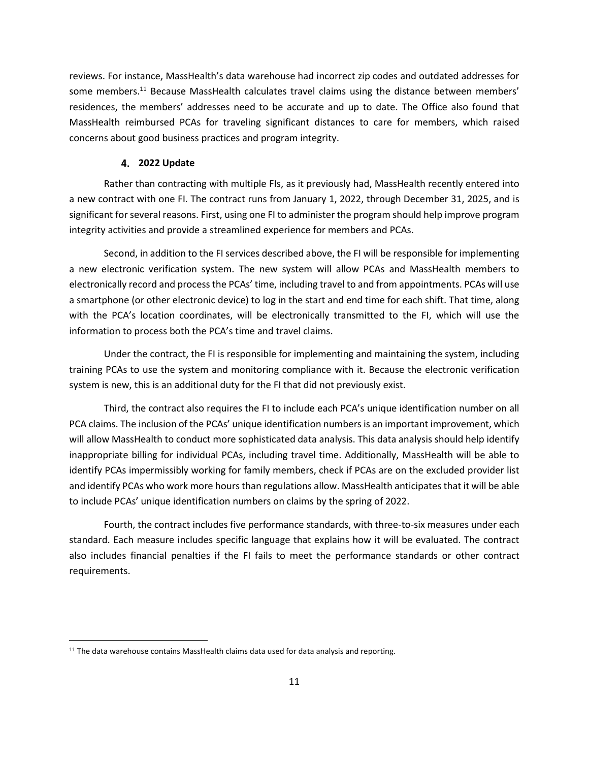reviews. For instance, MassHealth's data warehouse had incorrect zip codes and outdated addresses for some members.<sup>11</sup> Because MassHealth calculates travel claims using the distance between members' residences, the members' addresses need to be accurate and up to date. The Office also found that MassHealth reimbursed PCAs for traveling significant distances to care for members, which raised concerns about good business practices and program integrity.

#### **2022 Update**

Rather than contracting with multiple FIs, as it previously had, MassHealth recently entered into a new contract with one FI. The contract runs from January 1, 2022, through December 31, 2025, and is significant for several reasons. First, using one FI to administer the program should help improve program integrity activities and provide a streamlined experience for members and PCAs.

Second, in addition to the FI services described above, the FI will be responsible for implementing a new electronic verification system. The new system will allow PCAs and MassHealth members to electronically record and process the PCAs' time, including travel to and from appointments. PCAs will use a smartphone (or other electronic device) to log in the start and end time for each shift. That time, along with the PCA's location coordinates, will be electronically transmitted to the FI, which will use the information to process both the PCA's time and travel claims.

Under the contract, the FI is responsible for implementing and maintaining the system, including training PCAs to use the system and monitoring compliance with it. Because the electronic verification system is new, this is an additional duty for the FI that did not previously exist.

Third, the contract also requires the FI to include each PCA's unique identification number on all PCA claims. The inclusion of the PCAs' unique identification numbers is an important improvement, which will allow MassHealth to conduct more sophisticated data analysis. This data analysis should help identify inappropriate billing for individual PCAs, including travel time. Additionally, MassHealth will be able to identify PCAs impermissibly working for family members, check if PCAs are on the excluded provider list and identify PCAs who work more hours than regulations allow. MassHealth anticipates that it will be able to include PCAs' unique identification numbers on claims by the spring of 2022.

Fourth, the contract includes five performance standards, with three-to-six measures under each standard. Each measure includes specific language that explains how it will be evaluated. The contract also includes financial penalties if the FI fails to meet the performance standards or other contract requirements.

<sup>&</sup>lt;sup>11</sup> The data warehouse contains MassHealth claims data used for data analysis and reporting.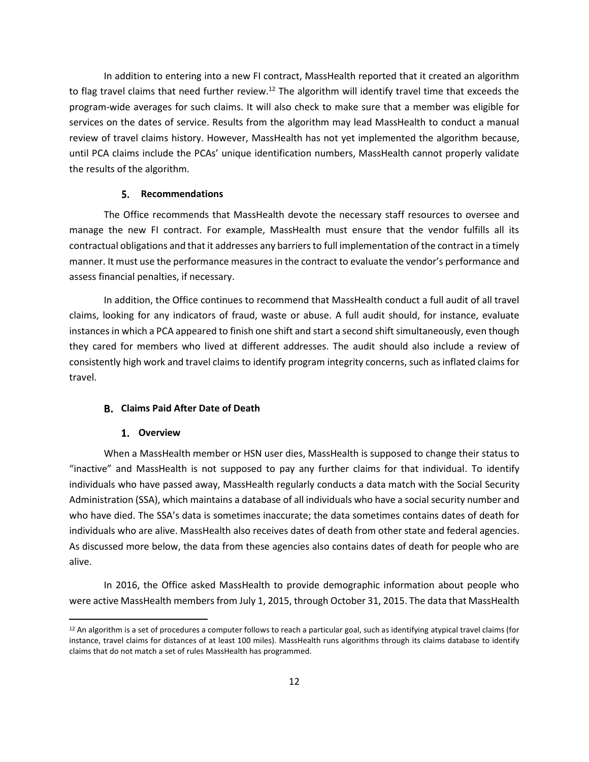In addition to entering into a new FI contract, MassHealth reported that it created an algorithm to flag travel claims that need further review.<sup>12</sup> The algorithm will identify travel time that exceeds the program-wide averages for such claims. It will also check to make sure that a member was eligible for services on the dates of service. Results from the algorithm may lead MassHealth to conduct a manual review of travel claims history. However, MassHealth has not yet implemented the algorithm because, until PCA claims include the PCAs' unique identification numbers, MassHealth cannot properly validate the results of the algorithm.

#### **Recommendations**

The Office recommends that MassHealth devote the necessary staff resources to oversee and manage the new FI contract. For example, MassHealth must ensure that the vendor fulfills all its contractual obligations and that it addresses any barriers to full implementation of the contract in a timely manner. It must use the performance measures in the contract to evaluate the vendor's performance and assess financial penalties, if necessary.

In addition, the Office continues to recommend that MassHealth conduct a full audit of all travel claims, looking for any indicators of fraud, waste or abuse. A full audit should, for instance, evaluate instances in which a PCA appeared to finish one shift and start a second shift simultaneously, even though they cared for members who lived at different addresses. The audit should also include a review of consistently high work and travel claims to identify program integrity concerns, such as inflated claims for travel.

#### <span id="page-13-0"></span>**Claims Paid After Date of Death**

#### **Overview**

When a MassHealth member or HSN user dies, MassHealth is supposed to change their status to "inactive" and MassHealth is not supposed to pay any further claims for that individual. To identify individuals who have passed away, MassHealth regularly conducts a data match with the Social Security Administration (SSA), which maintains a database of all individuals who have a social security number and who have died. The SSA's data is sometimes inaccurate; the data sometimes contains dates of death for individuals who are alive. MassHealth also receives dates of death from other state and federal agencies. As discussed more below, the data from these agencies also contains dates of death for people who are alive.

In 2016, the Office asked MassHealth to provide demographic information about people who were active MassHealth members from July 1, 2015, through October 31, 2015. The data that MassHealth

<sup>&</sup>lt;sup>12</sup> An algorithm is a set of procedures a computer follows to reach a particular goal, such as identifying atypical travel claims (for instance, travel claims for distances of at least 100 miles). MassHealth runs algorithms through its claims database to identify claims that do not match a set of rules MassHealth has programmed.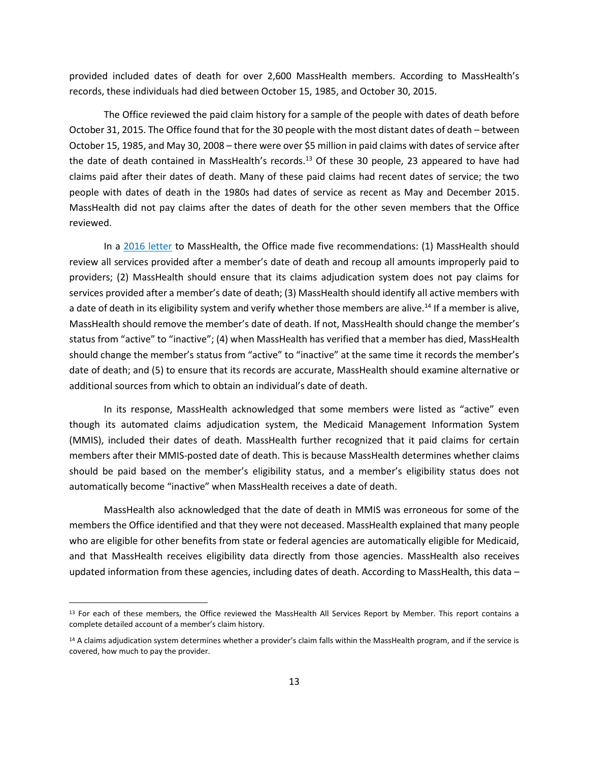provided included dates of death for over 2,600 MassHealth members. According to MassHealth's records, these individuals had died between October 15, 1985, and October 30, 2015.

The Office reviewed the paid claim history for a sample of the people with dates of death before October 31, 2015. The Office found that for the 30 people with the most distant dates of death – between October 15, 1985, and May 30, 2008 – there were over \$5 million in paid claims with dates of service after the date of death contained in MassHealth's records.<sup>13</sup> Of these 30 people, 23 appeared to have had claims paid after their dates of death. Many of these paid claims had recent dates of service; the two people with dates of death in the 1980s had dates of service as recent as May and December 2015. MassHealth did not pay claims after the dates of death for the other seven members that the Office reviewed.

In a [2016 letter](https://www.mass.gov/doc/masshealth-data-social-security-numbers-and-claims-paid-after-date-of-death-july-2016/download) to MassHealth, the Office made five recommendations: (1) MassHealth should review all services provided after a member's date of death and recoup all amounts improperly paid to providers; (2) MassHealth should ensure that its claims adjudication system does not pay claims for services provided after a member's date of death; (3) MassHealth should identify all active members with a date of death in its eligibility system and verify whether those members are alive.<sup>14</sup> If a member is alive, MassHealth should remove the member's date of death. If not, MassHealth should change the member's status from "active" to "inactive"; (4) when MassHealth has verified that a member has died, MassHealth should change the member's status from "active" to "inactive" at the same time it records the member's date of death; and (5) to ensure that its records are accurate, MassHealth should examine alternative or additional sources from which to obtain an individual's date of death.

In its response, MassHealth acknowledged that some members were listed as "active" even though its automated claims adjudication system, the Medicaid Management Information System (MMIS), included their dates of death. MassHealth further recognized that it paid claims for certain members after their MMIS-posted date of death. This is because MassHealth determines whether claims should be paid based on the member's eligibility status, and a member's eligibility status does not automatically become "inactive" when MassHealth receives a date of death.

MassHealth also acknowledged that the date of death in MMIS was erroneous for some of the members the Office identified and that they were not deceased. MassHealth explained that many people who are eligible for other benefits from state or federal agencies are automatically eligible for Medicaid, and that MassHealth receives eligibility data directly from those agencies. MassHealth also receives updated information from these agencies, including dates of death. According to MassHealth, this data  $-$ 

<sup>&</sup>lt;sup>13</sup> For each of these members, the Office reviewed the MassHealth All Services Report by Member. This report contains a complete detailed account of a member's claim history.

<sup>&</sup>lt;sup>14</sup> A claims adjudication system determines whether a provider's claim falls within the MassHealth program, and if the service is covered, how much to pay the provider.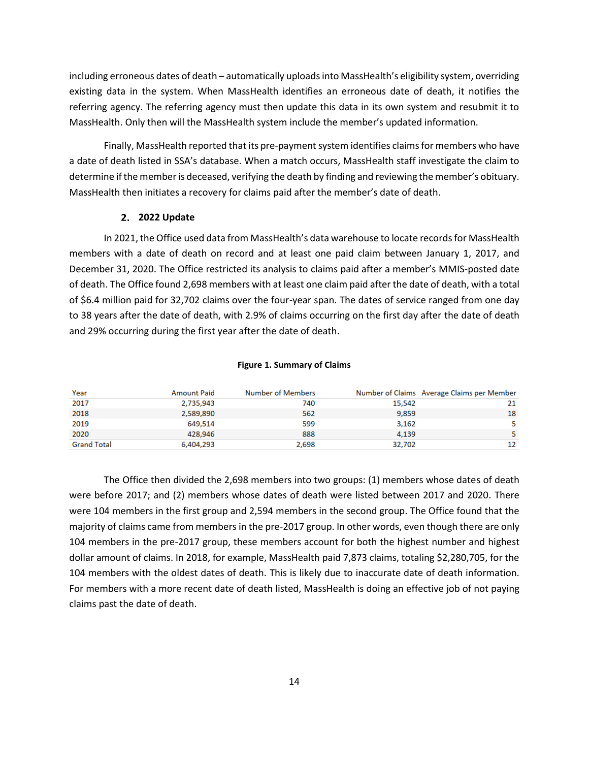including erroneous dates of death – automatically uploads into MassHealth's eligibility system, overriding existing data in the system. When MassHealth identifies an erroneous date of death, it notifies the referring agency. The referring agency must then update this data in its own system and resubmit it to MassHealth. Only then will the MassHealth system include the member's updated information.

Finally, MassHealth reported that its pre-payment system identifies claims for members who have a date of death listed in SSA's database. When a match occurs, MassHealth staff investigate the claim to determine if the member is deceased, verifying the death by finding and reviewing the member's obituary. MassHealth then initiates a recovery for claims paid after the member's date of death.

#### **2. 2022 Update**

In 2021, the Office used data from MassHealth's data warehouse to locate records for MassHealth members with a date of death on record and at least one paid claim between January 1, 2017, and December 31, 2020. The Office restricted its analysis to claims paid after a member's MMIS-posted date of death. The Office found 2,698 members with at least one claim paid after the date of death, with a total of \$6.4 million paid for 32,702 claims over the four-year span. The dates of service ranged from one day to 38 years after the date of death, with 2.9% of claims occurring on the first day after the date of death and 29% occurring during the first year after the date of death.

#### **Figure 1. Summary of Claims**

| Year               | <b>Amount Paid</b> | Number of Members |        | Number of Claims Average Claims per Member |
|--------------------|--------------------|-------------------|--------|--------------------------------------------|
| 2017               | 2,735,943          | 740               | 15,542 | 21                                         |
| 2018               | 2,589,890          | 562               | 9.859  | 18                                         |
| 2019               | 649.514            | 599               | 3,162  | 5                                          |
| 2020               | 428.946            | 888               | 4.139  | 5                                          |
| <b>Grand Total</b> | 6,404,293          | 2,698             | 32,702 | 12                                         |

The Office then divided the 2,698 members into two groups: (1) members whose dates of death were before 2017; and (2) members whose dates of death were listed between 2017 and 2020. There were 104 members in the first group and 2,594 members in the second group. The Office found that the majority of claims came from members in the pre-2017 group. In other words, even though there are only 104 members in the pre-2017 group, these members account for both the highest number and highest dollar amount of claims. In 2018, for example, MassHealth paid 7,873 claims, totaling \$2,280,705, for the 104 members with the oldest dates of death. This is likely due to inaccurate date of death information. For members with a more recent date of death listed, MassHealth is doing an effective job of not paying claims past the date of death.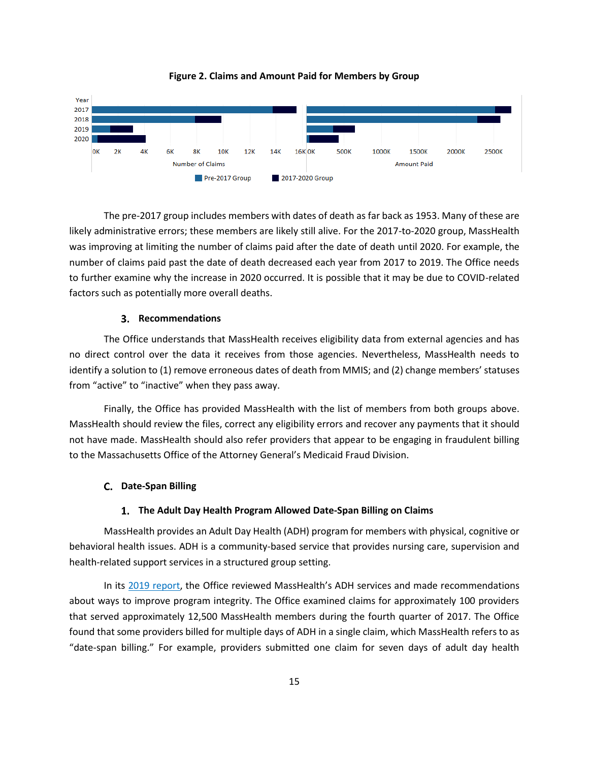



The pre-2017 group includes members with dates of death as far back as 1953. Many of these are likely administrative errors; these members are likely still alive. For the 2017-to-2020 group, MassHealth was improving at limiting the number of claims paid after the date of death until 2020. For example, the number of claims paid past the date of death decreased each year from 2017 to 2019. The Office needs to further examine why the increase in 2020 occurred. It is possible that it may be due to COVID-related factors such as potentially more overall deaths.

#### **Recommendations**

The Office understands that MassHealth receives eligibility data from external agencies and has no direct control over the data it receives from those agencies. Nevertheless, MassHealth needs to identify a solution to (1) remove erroneous dates of death from MMIS; and (2) change members' statuses from "active" to "inactive" when they pass away.

Finally, the Office has provided MassHealth with the list of members from both groups above. MassHealth should review the files, correct any eligibility errors and recover any payments that it should not have made. MassHealth should also refer providers that appear to be engaging in fraudulent billing to the Massachusetts Office of the Attorney General's Medicaid Fraud Division.

#### <span id="page-16-0"></span>**Date-Span Billing**

#### **The Adult Day Health Program Allowed Date-Span Billing on Claims**

MassHealth provides an Adult Day Health (ADH) program for members with physical, cognitive or behavioral health issues. ADH is a community-based service that provides nursing care, supervision and health-related support services in a structured group setting.

In its [2019 report](https://www.mass.gov/doc/masshealth-and-health-safety-net-annual-report-march-2019/download), the Office reviewed MassHealth's ADH services and made recommendations about ways to improve program integrity. The Office examined claims for approximately 100 providers that served approximately 12,500 MassHealth members during the fourth quarter of 2017. The Office found that some providers billed for multiple days of ADH in a single claim, which MassHealth refers to as "date-span billing." For example, providers submitted one claim for seven days of adult day health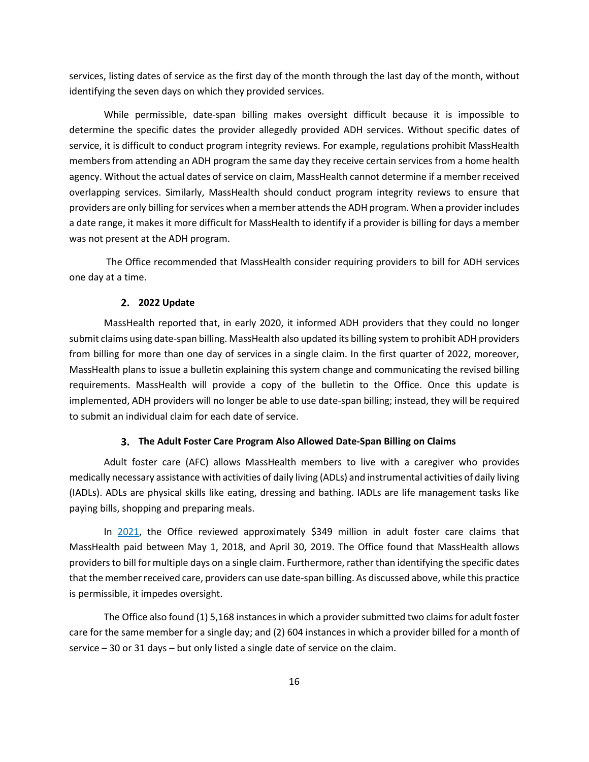services, listing dates of service as the first day of the month through the last day of the month, without identifying the seven days on which they provided services.

While permissible, date-span billing makes oversight difficult because it is impossible to determine the specific dates the provider allegedly provided ADH services. Without specific dates of service, it is difficult to conduct program integrity reviews. For example, regulations prohibit MassHealth members from attending an ADH program the same day they receive certain services from a home health agency. Without the actual dates of service on claim, MassHealth cannot determine if a member received overlapping services. Similarly, MassHealth should conduct program integrity reviews to ensure that providers are only billing for services when a member attends the ADH program. When a provider includes a date range, it makes it more difficult for MassHealth to identify if a provider is billing for days a member was not present at the ADH program.

The Office recommended that MassHealth consider requiring providers to bill for ADH services one day at a time.

#### **2. 2022 Update**

MassHealth reported that, in early 2020, it informed ADH providers that they could no longer submit claims using date-span billing. MassHealth also updated its billing system to prohibit ADH providers from billing for more than one day of services in a single claim. In the first quarter of 2022, moreover, MassHealth plans to issue a bulletin explaining this system change and communicating the revised billing requirements. MassHealth will provide a copy of the bulletin to the Office. Once this update is implemented, ADH providers will no longer be able to use date-span billing; instead, they will be required to submit an individual claim for each date of service.

#### **The Adult Foster Care Program Also Allowed Date-Span Billing on Claims**

Adult foster care (AFC) allows MassHealth members to live with a caregiver who provides medically necessary assistance with activities of daily living (ADLs) and instrumental activities of daily living (IADLs). ADLs are physical skills like eating, dressing and bathing. IADLs are life management tasks like paying bills, shopping and preparing meals.

In [2021,](https://www.mass.gov/doc/masshealth-and-health-safety-net-2021-annual-report/download) the Office reviewed approximately \$349 million in adult foster care claims that MassHealth paid between May 1, 2018, and April 30, 2019. The Office found that MassHealth allows providers to bill for multiple days on a single claim. Furthermore, rather than identifying the specific dates that the member received care, providers can use date-span billing. As discussed above, while this practice is permissible, it impedes oversight.

The Office also found (1) 5,168 instances in which a provider submitted two claims for adult foster care for the same member for a single day; and (2) 604 instances in which a provider billed for a month of service – 30 or 31 days – but only listed a single date of service on the claim.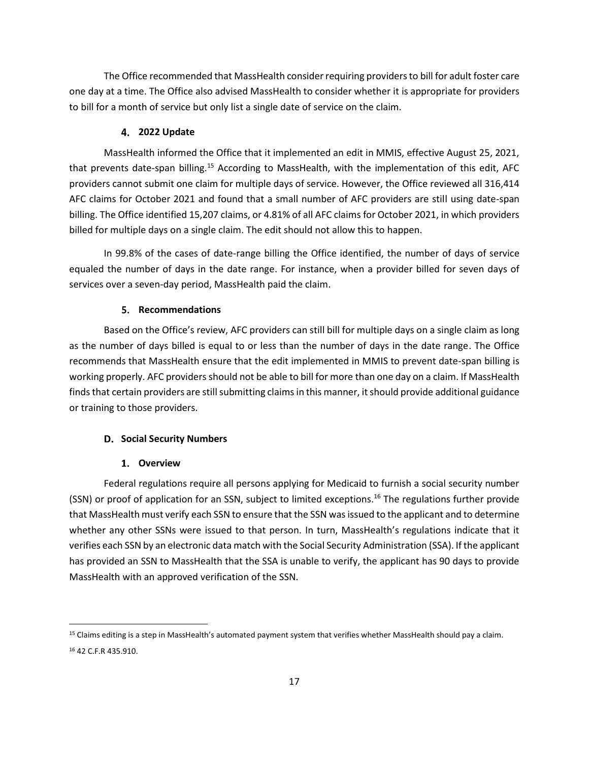The Office recommended that MassHealth consider requiring providers to bill for adult foster care one day at a time. The Office also advised MassHealth to consider whether it is appropriate for providers to bill for a month of service but only list a single date of service on the claim.

#### **2022 Update**

MassHealth informed the Office that it implemented an edit in MMIS, effective August 25, 2021, that prevents date-span billing.<sup>15</sup> According to MassHealth, with the implementation of this edit, AFC providers cannot submit one claim for multiple days of service. However, the Office reviewed all 316,414 AFC claims for October 2021 and found that a small number of AFC providers are still using date-span billing. The Office identified 15,207 claims, or 4.81% of all AFC claims for October 2021, in which providers billed for multiple days on a single claim. The edit should not allow this to happen.

In 99.8% of the cases of date-range billing the Office identified, the number of days of service equaled the number of days in the date range. For instance, when a provider billed for seven days of services over a seven-day period, MassHealth paid the claim.

#### **Recommendations**

Based on the Office's review, AFC providers can still bill for multiple days on a single claim as long as the number of days billed is equal to or less than the number of days in the date range. The Office recommends that MassHealth ensure that the edit implemented in MMIS to prevent date-span billing is working properly. AFC providers should not be able to bill for more than one day on a claim. If MassHealth finds that certain providers are still submitting claims in this manner, it should provide additional guidance or training to those providers.

#### <span id="page-18-0"></span>**D.** Social Security Numbers

#### **Overview**

Federal regulations require all persons applying for Medicaid to furnish a social security number (SSN) or proof of application for an SSN, subject to limited exceptions.<sup>16</sup> The regulations further provide that MassHealth must verify each SSN to ensure that the SSN was issued to the applicant and to determine whether any other SSNs were issued to that person. In turn, MassHealth's regulations indicate that it verifies each SSN by an electronic data match with the Social Security Administration (SSA). If the applicant has provided an SSN to MassHealth that the SSA is unable to verify, the applicant has 90 days to provide MassHealth with an approved verification of the SSN.

<sup>&</sup>lt;sup>15</sup> Claims editing is a step in MassHealth's automated payment system that verifies whether MassHealth should pay a claim. <sup>16</sup> 42 C.F.R 435.910.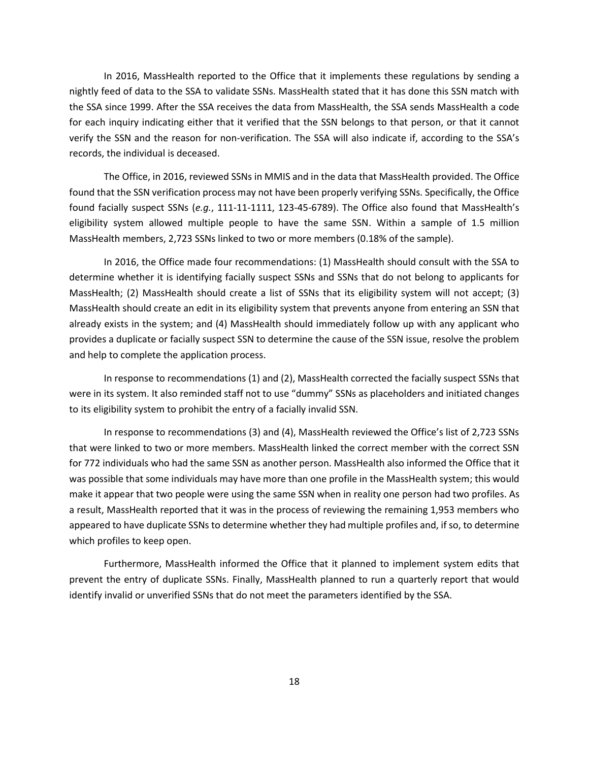In 2016, MassHealth reported to the Office that it implements these regulations by sending a nightly feed of data to the SSA to validate SSNs. MassHealth stated that it has done this SSN match with the SSA since 1999. After the SSA receives the data from MassHealth, the SSA sends MassHealth a code for each inquiry indicating either that it verified that the SSN belongs to that person, or that it cannot verify the SSN and the reason for non-verification. The SSA will also indicate if, according to the SSA's records, the individual is deceased.

The Office, in 2016, reviewed SSNs in MMIS and in the data that MassHealth provided. The Office found that the SSN verification process may not have been properly verifying SSNs. Specifically, the Office found facially suspect SSNs (*e.g.*, 111-11-1111, 123-45-6789). The Office also found that MassHealth's eligibility system allowed multiple people to have the same SSN. Within a sample of 1.5 million MassHealth members, 2,723 SSNs linked to two or more members (0.18% of the sample).

In [2016,](https://www.mass.gov/doc/masshealth-data-social-security-numbers-and-claims-paid-after-date-of-death-july-2016/download) the Office made four recommendations: (1) MassHealth should consult with the SSA to determine whether it is identifying facially suspect SSNs and SSNs that do not belong to applicants for MassHealth; (2) MassHealth should create a list of SSNs that its eligibility system will not accept; (3) MassHealth should create an edit in its eligibility system that prevents anyone from entering an SSN that already exists in the system; and (4) MassHealth should immediately follow up with any applicant who provides a duplicate or facially suspect SSN to determine the cause of the SSN issue, resolve the problem and help to complete the application process.

In response to recommendations (1) and (2), MassHealth corrected the facially suspect SSNs that were in its system. It also reminded staff not to use "dummy" SSNs as placeholders and initiated changes to its eligibility system to prohibit the entry of a facially invalid SSN.

In response to recommendations (3) and (4), MassHealth reviewed the Office's list of 2,723 SSNs that were linked to two or more members. MassHealth linked the correct member with the correct SSN for 772 individuals who had the same SSN as another person. MassHealth also informed the Office that it was possible that some individuals may have more than one profile in the MassHealth system; this would make it appear that two people were using the same SSN when in reality one person had two profiles. As a result, MassHealth reported that it was in the process of reviewing the remaining 1,953 members who appeared to have duplicate SSNs to determine whether they had multiple profiles and, if so, to determine which profiles to keep open.

Furthermore, MassHealth informed the Office that it planned to implement system edits that prevent the entry of duplicate SSNs. Finally, MassHealth planned to run a quarterly report that would identify invalid or unverified SSNs that do not meet the parameters identified by the SSA.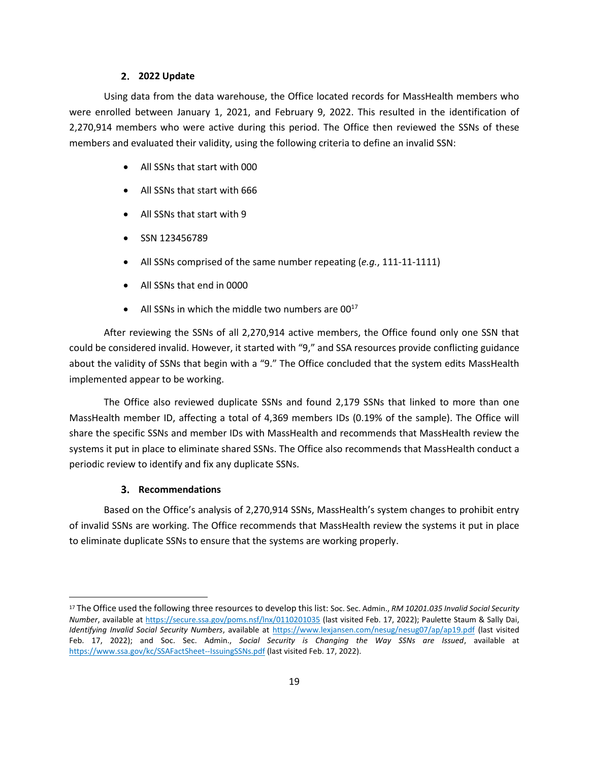#### **2. 2022 Update**

Using data from the data warehouse, the Office located records for MassHealth members who were enrolled between January 1, 2021, and February 9, 2022. This resulted in the identification of 2,270,914 members who were active during this period. The Office then reviewed the SSNs of these members and evaluated their validity, using the following criteria to define an invalid SSN:

- All SSNs that start with 000
- All SSNs that start with 666
- All SSNs that start with 9
- SSN 123456789
- All SSNs comprised of the same number repeating (*e.g.*, 111-11-1111)
- All SSNs that end in 0000
- All SSNs in which the middle two numbers are  $00^{17}$

After reviewing the SSNs of all 2,270,914 active members, the Office found only one SSN that could be considered invalid. However, it started with "9," and SSA resources provide conflicting guidance about the validity of SSNs that begin with a "9." The Office concluded that the system edits MassHealth implemented appear to be working.

The Office also reviewed duplicate SSNs and found 2,179 SSNs that linked to more than one MassHealth member ID, affecting a total of 4,369 members IDs (0.19% of the sample). The Office will share the specific SSNs and member IDs with MassHealth and recommends that MassHealth review the systems it put in place to eliminate shared SSNs. The Office also recommends that MassHealth conduct a periodic review to identify and fix any duplicate SSNs.

#### **Recommendations**

Based on the Office's analysis of 2,270,914 SSNs, MassHealth's system changes to prohibit entry of invalid SSNs are working. The Office recommends that MassHealth review the systems it put in place to eliminate duplicate SSNs to ensure that the systems are working properly.

<sup>17</sup> The Office used the following three resources to develop this list: Soc. Sec. Admin., *RM 10201.035 Invalid Social Security Number*, available at<https://secure.ssa.gov/poms.nsf/lnx/0110201035> (last visited Feb. 17, 2022); Paulette Staum & Sally Dai, *Identifying Invalid Social Security Numbers*, available at <https://www.lexjansen.com/nesug/nesug07/ap/ap19.pdf> (last visited Feb. 17, 2022); and Soc. Sec. Admin., *Social Security is Changing the Way SSNs are Issued*, available at <https://www.ssa.gov/kc/SSAFactSheet--IssuingSSNs.pdf> (last visited Feb. 17, 2022).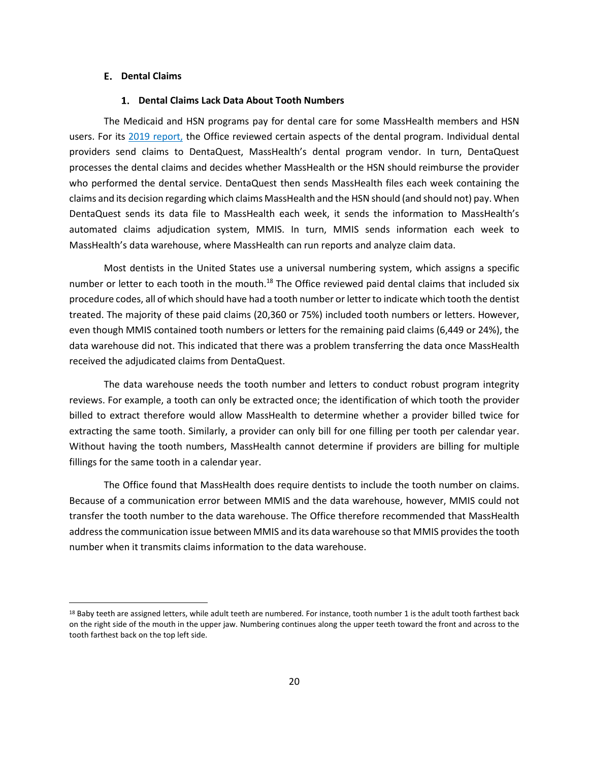#### <span id="page-21-0"></span>**Dental Claims**

#### **Dental Claims Lack Data About Tooth Numbers**

The Medicaid and HSN programs pay for dental care for some MassHealth members and HSN users. For its [2019 report,](https://www.mass.gov/doc/masshealth-and-health-safety-net-annual-report-march-2019/download) the Office reviewed certain aspects of the dental program. Individual dental providers send claims to DentaQuest, MassHealth's dental program vendor. In turn, DentaQuest processes the dental claims and decides whether MassHealth or the HSN should reimburse the provider who performed the dental service. DentaQuest then sends MassHealth files each week containing the claims and its decision regarding which claims MassHealth and the HSN should (and should not) pay. When DentaQuest sends its data file to MassHealth each week, it sends the information to MassHealth's automated claims adjudication system, MMIS. In turn, MMIS sends information each week to MassHealth's data warehouse, where MassHealth can run reports and analyze claim data.

Most dentists in the United States use a universal numbering system, which assigns a specific number or letter to each tooth in the mouth.<sup>18</sup> The Office reviewed paid dental claims that included six procedure codes, all of which should have had a tooth number or letter to indicate which tooth the dentist treated. The majority of these paid claims (20,360 or 75%) included tooth numbers or letters. However, even though MMIS contained tooth numbers or letters for the remaining paid claims (6,449 or 24%), the data warehouse did not. This indicated that there was a problem transferring the data once MassHealth received the adjudicated claims from DentaQuest.

The data warehouse needs the tooth number and letters to conduct robust program integrity reviews. For example, a tooth can only be extracted once; the identification of which tooth the provider billed to extract therefore would allow MassHealth to determine whether a provider billed twice for extracting the same tooth. Similarly, a provider can only bill for one filling per tooth per calendar year. Without having the tooth numbers, MassHealth cannot determine if providers are billing for multiple fillings for the same tooth in a calendar year.

The Office found that MassHealth does require dentists to include the tooth number on claims. Because of a communication error between MMIS and the data warehouse, however, MMIS could not transfer the tooth number to the data warehouse. The Office therefore recommended that MassHealth address the communication issue between MMIS and its data warehouse so that MMIS provides the tooth number when it transmits claims information to the data warehouse.

<sup>18</sup> Baby teeth are assigned letters, while adult teeth are numbered. For instance, tooth number 1 is the adult tooth farthest back on the right side of the mouth in the upper jaw. Numbering continues along the upper teeth toward the front and across to the tooth farthest back on the top left side.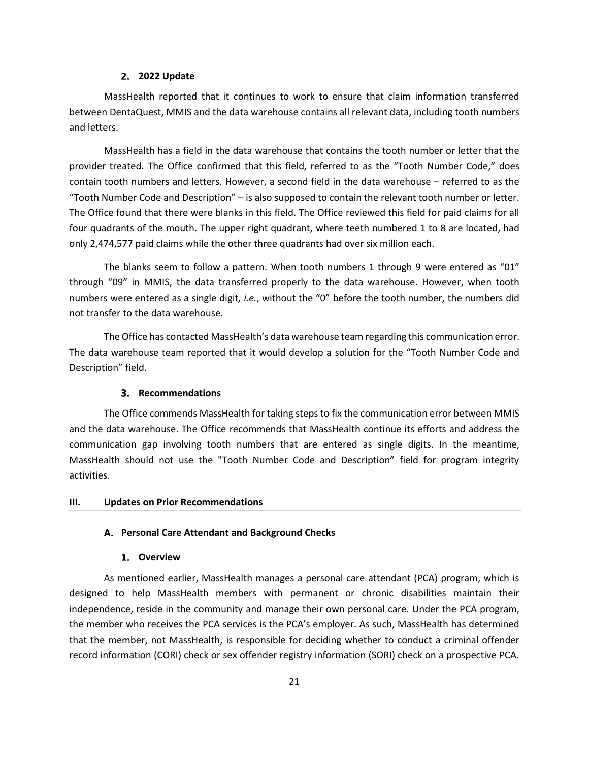#### **2. 2022 Update**

MassHealth reported that it continues to work to ensure that claim information transferred between DentaQuest, MMIS and the data warehouse contains all relevant data, including tooth numbers and letters.

MassHealth has a field in the data warehouse that contains the tooth number or letter that the provider treated. The Office confirmed that this field, referred to as the "Tooth Number Code," does contain tooth numbers and letters. However, a second field in the data warehouse – referred to as the "Tooth Number Code and Description" – is also supposed to contain the relevant tooth number or letter. The Office found that there were blanks in this field. The Office reviewed this field for paid claims for all four quadrants of the mouth. The upper right quadrant, where teeth numbered 1 to 8 are located, had only 2,474,577 paid claims while the other three quadrants had over six million each.

The blanks seem to follow a pattern. When tooth numbers 1 through 9 were entered as "01" through "09" in MMIS, the data transferred properly to the data warehouse. However, when tooth numbers were entered as a single digit*, i.e.*, without the "0" before the tooth number, the numbers did not transfer to the data warehouse.

The Office has contacted MassHealth's data warehouse team regarding this communication error. The data warehouse team reported that it would develop a solution for the "Tooth Number Code and Description" field.

#### **Recommendations**

The Office commends MassHealth for taking steps to fix the communication error between MMIS and the data warehouse. The Office recommends that MassHealth continue its efforts and address the communication gap involving tooth numbers that are entered as single digits. In the meantime, MassHealth should not use the "Tooth Number Code and Description" field for program integrity activities.

#### <span id="page-22-1"></span><span id="page-22-0"></span>**III. Updates on Prior Recommendations**

#### **Personal Care Attendant and Background Checks**

#### **Overview**

As mentioned earlier, MassHealth manages a personal care attendant (PCA) program, which is designed to help MassHealth members with permanent or chronic disabilities maintain their independence, reside in the community and manage their own personal care. Under the PCA program, the member who receives the PCA services is the PCA's employer. As such, MassHealth has determined that the member, not MassHealth, is responsible for deciding whether to conduct a criminal offender record information (CORI) check or sex offender registry information (SORI) check on a prospective PCA.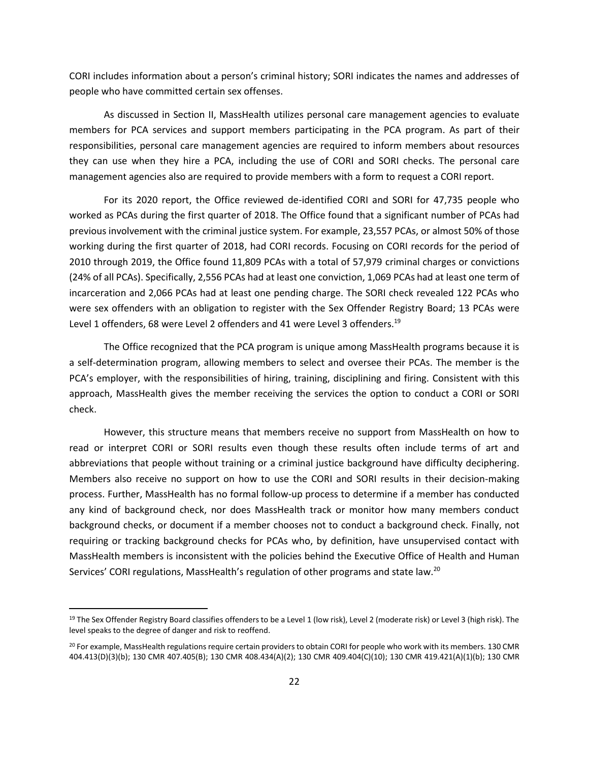CORI includes information about a person's criminal history; SORI indicates the names and addresses of people who have committed certain sex offenses.

As discussed in Section II, MassHealth utilizes personal care management agencies to evaluate members for PCA services and support members participating in the PCA program. As part of their responsibilities, personal care management agencies are required to inform members about resources they can use when they hire a PCA, including the use of CORI and SORI checks. The personal care management agencies also are required to provide members with a form to request a CORI report.

For its [2020 report,](https://www.mass.gov/doc/masshealth-and-health-safety-net-annual-report-february-2020/download) the Office reviewed de-identified CORI and SORI for 47,735 people who worked as PCAs during the first quarter of 2018. The Office found that a significant number of PCAs had previous involvement with the criminal justice system. For example, 23,557 PCAs, or almost 50% of those working during the first quarter of 2018, had CORI records. Focusing on CORI records for the period of 2010 through 2019, the Office found 11,809 PCAs with a total of 57,979 criminal charges or convictions (24% of all PCAs). Specifically, 2,556 PCAs had at least one conviction, 1,069 PCAs had at least one term of incarceration and 2,066 PCAs had at least one pending charge. The SORI check revealed 122 PCAs who were sex offenders with an obligation to register with the Sex Offender Registry Board; 13 PCAs were Level 1 offenders, 68 were Level 2 offenders and 41 were Level 3 offenders.<sup>19</sup>

The Office recognized that the PCA program is unique among MassHealth programs because it is a self-determination program, allowing members to select and oversee their PCAs. The member is the PCA's employer, with the responsibilities of hiring, training, disciplining and firing. Consistent with this approach, MassHealth gives the member receiving the services the option to conduct a CORI or SORI check.

However, this structure means that members receive no support from MassHealth on how to read or interpret CORI or SORI results even though these results often include terms of art and abbreviations that people without training or a criminal justice background have difficulty deciphering. Members also receive no support on how to use the CORI and SORI results in their decision-making process. Further, MassHealth has no formal follow-up process to determine if a member has conducted any kind of background check, nor does MassHealth track or monitor how many members conduct background checks, or document if a member chooses not to conduct a background check. Finally, not requiring or tracking background checks for PCAs who, by definition, have unsupervised contact with MassHealth members is inconsistent with the policies behind the Executive Office of Health and Human Services' CORI regulations, MassHealth's regulation of other programs and state law.<sup>20</sup>

<sup>&</sup>lt;sup>19</sup> The Sex Offender Registry Board classifies offenders to be a Level 1 (low risk), Level 2 (moderate risk) or Level 3 (high risk). The level speaks to the degree of danger and risk to reoffend.

<sup>&</sup>lt;sup>20</sup> For example, MassHealth regulations require certain providers to obtain CORI for people who work with its members. 130 CMR 404.413(D)(3)(b); 130 CMR 407.405(B); 130 CMR 408.434(A)(2); 130 CMR 409.404(C)(10); 130 CMR 419.421(A)(1)(b); 130 CMR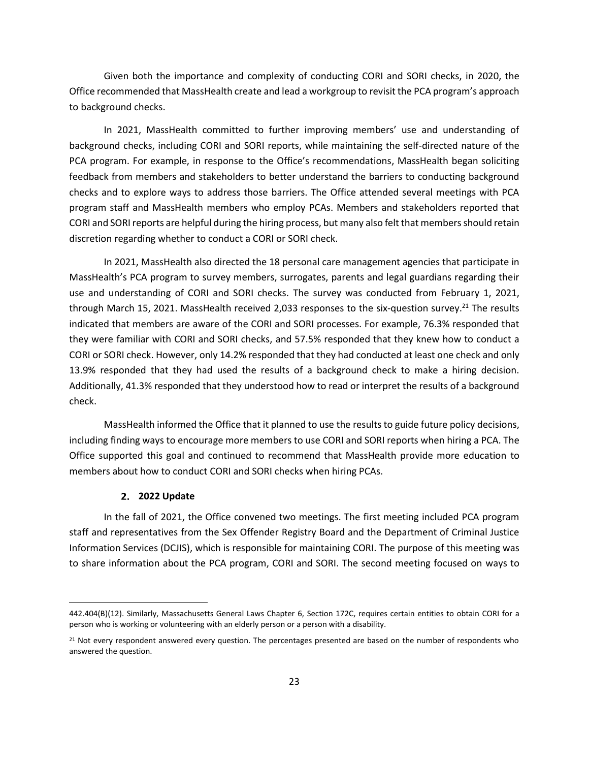Given both the importance and complexity of conducting CORI and SORI checks, in 2020, the Office recommended that MassHealth create and lead a workgroup to revisit the PCA program's approach to background checks.

In 2021, MassHealth committed to further improving members' use and understanding of background checks, including CORI and SORI reports, while maintaining the self-directed nature of the PCA program. For example, in response to the Office's recommendations, MassHealth began soliciting feedback from members and stakeholders to better understand the barriers to conducting background checks and to explore ways to address those barriers. The Office attended several meetings with PCA program staff and MassHealth members who employ PCAs. Members and stakeholders reported that CORI and SORI reports are helpful during the hiring process, but many also felt that members should retain discretion regarding whether to conduct a CORI or SORI check.

In 2021, MassHealth also directed the 18 personal care management agencies that participate in MassHealth's PCA program to survey members, surrogates, parents and legal guardians regarding their use and understanding of CORI and SORI checks. The survey was conducted from February 1, 2021, through March 15, 2021. MassHealth received 2,033 responses to the six-question survey.<sup>21</sup> The results indicated that members are aware of the CORI and SORI processes. For example, 76.3% responded that they were familiar with CORI and SORI checks, and 57.5% responded that they knew how to conduct a CORI or SORI check. However, only 14.2% responded that they had conducted at least one check and only 13.9% responded that they had used the results of a background check to make a hiring decision. Additionally, 41.3% responded that they understood how to read or interpret the results of a background check.

MassHealth informed the Office that it planned to use the results to guide future policy decisions, including finding ways to encourage more members to use CORI and SORI reports when hiring a PCA. The Office supported this goal and continued to recommend that MassHealth provide more education to members about how to conduct CORI and SORI checks when hiring PCAs.

#### **2. 2022 Update**

In the fall of 2021, the Office convened two meetings. The first meeting included PCA program staff and representatives from the Sex Offender Registry Board and the Department of Criminal Justice Information Services (DCJIS), which is responsible for maintaining CORI. The purpose of this meeting was to share information about the PCA program, CORI and SORI. The second meeting focused on ways to

<sup>442.404(</sup>B)(12). Similarly, Massachusetts General Laws Chapter 6, Section 172C, requires certain entities to obtain CORI for a person who is working or volunteering with an elderly person or a person with a disability.

<sup>&</sup>lt;sup>21</sup> Not every respondent answered every question. The percentages presented are based on the number of respondents who answered the question.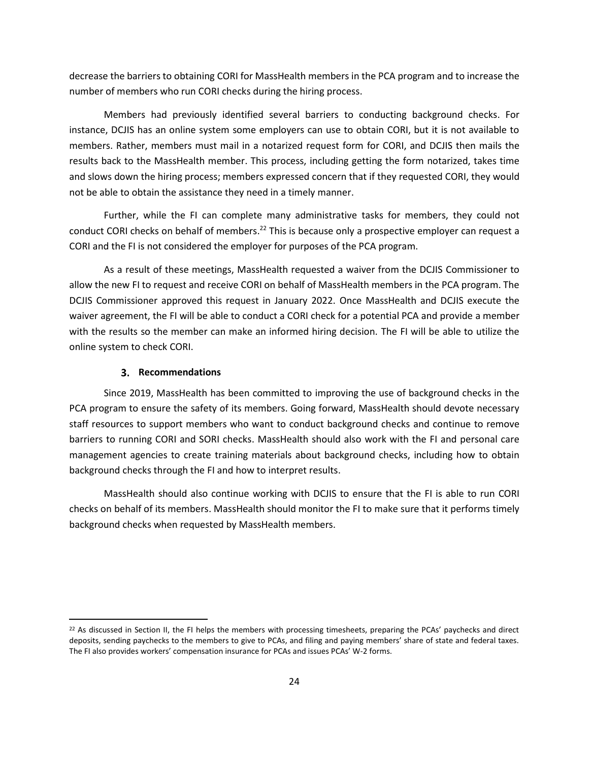decrease the barriers to obtaining CORI for MassHealth members in the PCA program and to increase the number of members who run CORI checks during the hiring process.

Members had previously identified several barriers to conducting background checks. For instance, DCJIS has an online system some employers can use to obtain CORI, but it is not available to members. Rather, members must mail in a notarized request form for CORI, and DCJIS then mails the results back to the MassHealth member. This process, including getting the form notarized, takes time and slows down the hiring process; members expressed concern that if they requested CORI, they would not be able to obtain the assistance they need in a timely manner.

Further, while the FI can complete many administrative tasks for members, they could not conduct CORI checks on behalf of members.<sup>22</sup> This is because only a prospective employer can request a CORI and the FI is not considered the employer for purposes of the PCA program.

As a result of these meetings, MassHealth requested a waiver from the DCJIS Commissioner to allow the new FI to request and receive CORI on behalf of MassHealth members in the PCA program. The DCJIS Commissioner approved this request in January 2022. Once MassHealth and DCJIS execute the waiver agreement, the FI will be able to conduct a CORI check for a potential PCA and provide a member with the results so the member can make an informed hiring decision. The FI will be able to utilize the online system to check CORI.

#### **Recommendations**

Since 2019, MassHealth has been committed to improving the use of background checks in the PCA program to ensure the safety of its members. Going forward, MassHealth should devote necessary staff resources to support members who want to conduct background checks and continue to remove barriers to running CORI and SORI checks. MassHealth should also work with the FI and personal care management agencies to create training materials about background checks, including how to obtain background checks through the FI and how to interpret results.

MassHealth should also continue working with DCJIS to ensure that the FI is able to run CORI checks on behalf of its members. MassHealth should monitor the FI to make sure that it performs timely background checks when requested by MassHealth members.

<sup>&</sup>lt;sup>22</sup> As discussed in Section II, the FI helps the members with processing timesheets, preparing the PCAs' paychecks and direct deposits, sending paychecks to the members to give to PCAs, and filing and paying members' share of state and federal taxes. The FI also provides workers' compensation insurance for PCAs and issues PCAs' W-2 forms.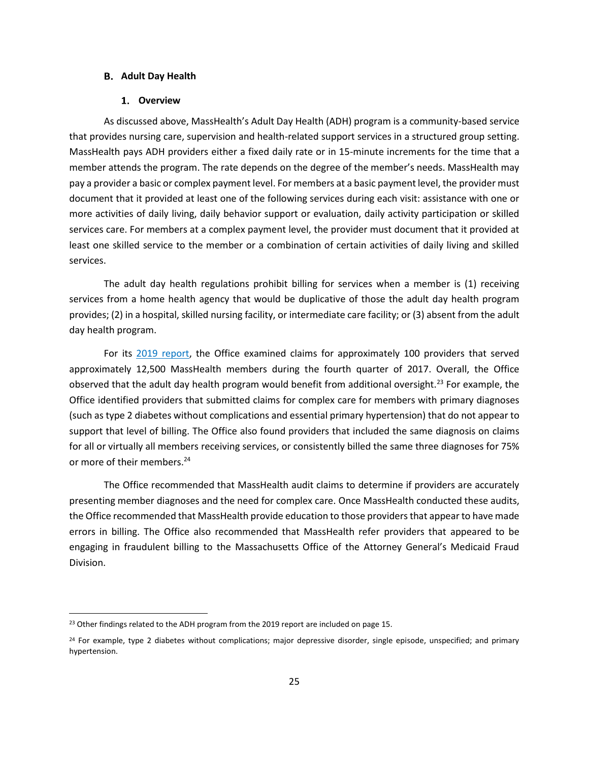#### <span id="page-26-0"></span>**Adult Day Health**

#### **Overview**

As discussed above, MassHealth's Adult Day Health (ADH) program is a community-based service that provides nursing care, supervision and health-related support services in a structured group setting. MassHealth pays ADH providers either a fixed daily rate or in 15-minute increments for the time that a member attends the program. The rate depends on the degree of the member's needs. MassHealth may pay a provider a basic or complex payment level. For members at a basic payment level, the provider must document that it provided at least one of the following services during each visit: assistance with one or more activities of daily living, daily behavior support or evaluation, daily activity participation or skilled services care. For members at a complex payment level, the provider must document that it provided at least one skilled service to the member or a combination of certain activities of daily living and skilled services.

The adult day health regulations prohibit billing for services when a member is (1) receiving services from a home health agency that would be duplicative of those the adult day health program provides; (2) in a hospital, skilled nursing facility, or intermediate care facility; or (3) absent from the adult day health program.

For its [2019 report,](https://www.mass.gov/doc/masshealth-and-health-safety-net-annual-report-march-2019/download) the Office examined claims for approximately 100 providers that served approximately 12,500 MassHealth members during the fourth quarter of 2017. Overall, the Office observed that the adult day health program would benefit from additional oversight.<sup>23</sup> For example, the Office identified providers that submitted claims for complex care for members with primary diagnoses (such as type 2 diabetes without complications and essential primary hypertension) that do not appear to support that level of billing. The Office also found providers that included the same diagnosis on claims for all or virtually all members receiving services, or consistently billed the same three diagnoses for 75% or more of their members.<sup>24</sup>

The Office recommended that MassHealth audit claims to determine if providers are accurately presenting member diagnoses and the need for complex care. Once MassHealth conducted these audits, the Office recommended that MassHealth provide education to those providers that appear to have made errors in billing. The Office also recommended that MassHealth refer providers that appeared to be engaging in fraudulent billing to the Massachusetts Office of the Attorney General's Medicaid Fraud Division.

<sup>&</sup>lt;sup>23</sup> Other findings related to the ADH program from the 2019 report are included on page 15.

<sup>&</sup>lt;sup>24</sup> For example, type 2 diabetes without complications; major depressive disorder, single episode, unspecified; and primary hypertension.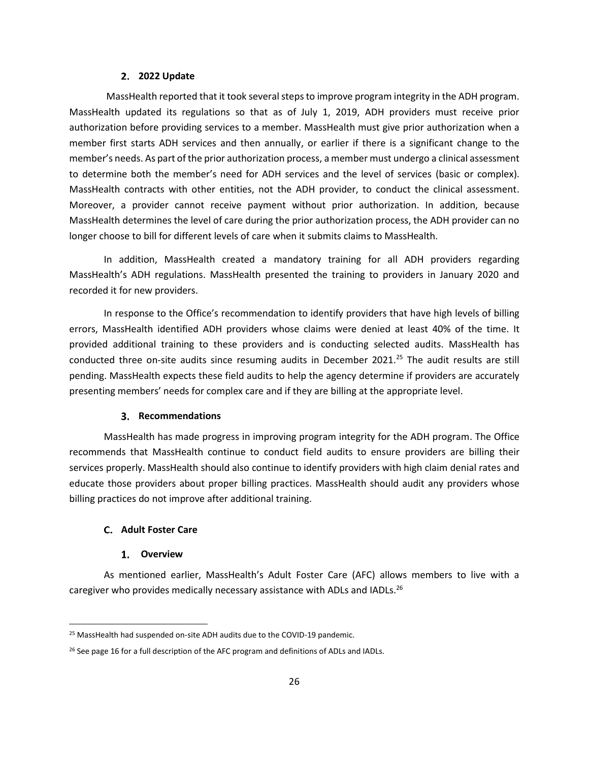#### **2. 2022 Update**

MassHealth reported that it took several steps to improve program integrity in the ADH program. MassHealth updated its regulations so that as of July 1, 2019, ADH providers must receive prior authorization before providing services to a member. MassHealth must give prior authorization when a member first starts ADH services and then annually, or earlier if there is a significant change to the member's needs. As part of the prior authorization process, a member must undergo a clinical assessment to determine both the member's need for ADH services and the level of services (basic or complex). MassHealth contracts with other entities, not the ADH provider, to conduct the clinical assessment. Moreover, a provider cannot receive payment without prior authorization. In addition, because MassHealth determines the level of care during the prior authorization process, the ADH provider can no longer choose to bill for different levels of care when it submits claims to MassHealth.

In addition, MassHealth created a mandatory training for all ADH providers regarding MassHealth's ADH regulations. MassHealth presented the training to providers in January 2020 and recorded it for new providers.

In response to the Office's recommendation to identify providers that have high levels of billing errors, MassHealth identified ADH providers whose claims were denied at least 40% of the time. It provided additional training to these providers and is conducting selected audits. MassHealth has conducted three on-site audits since resuming audits in December 2021.<sup>25</sup> The audit results are still pending. MassHealth expects these field audits to help the agency determine if providers are accurately presenting members' needs for complex care and if they are billing at the appropriate level.

#### **Recommendations**

MassHealth has made progress in improving program integrity for the ADH program. The Office recommends that MassHealth continue to conduct field audits to ensure providers are billing their services properly. MassHealth should also continue to identify providers with high claim denial rates and educate those providers about proper billing practices. MassHealth should audit any providers whose billing practices do not improve after additional training.

#### <span id="page-27-0"></span>**Adult Foster Care**

#### **Overview**

As mentioned earlier, MassHealth's Adult Foster Care (AFC) allows members to live with a caregiver who provides medically necessary assistance with ADLs and IADLs.<sup>26</sup>

<sup>25</sup> MassHealth had suspended on-site ADH audits due to the COVID-19 pandemic.

<sup>&</sup>lt;sup>26</sup> See page 16 for a full description of the AFC program and definitions of ADLs and IADLs.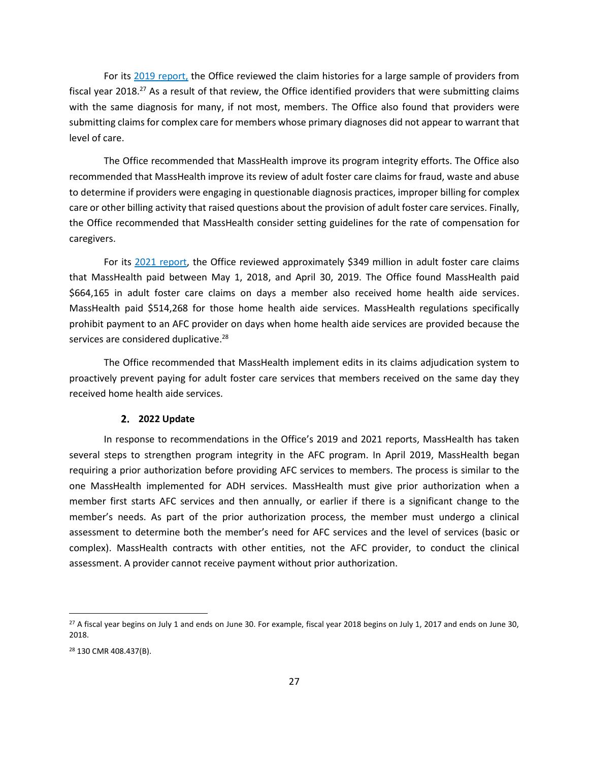For its [2019 report,](https://www.mass.gov/info-details/oig-annual-report-2019-policy-and-government-division) the Office reviewed the claim histories for a large sample of providers from fiscal year 2018.<sup>27</sup> As a result of that review, the Office identified providers that were submitting claims with the same diagnosis for many, if not most, members. The Office also found that providers were submitting claims for complex care for members whose primary diagnoses did not appear to warrant that level of care.

The Office recommended that MassHealth improve its program integrity efforts. The Office also recommended that MassHealth improve its review of adult foster care claims for fraud, waste and abuse to determine if providers were engaging in questionable diagnosis practices, improper billing for complex care or other billing activity that raised questions about the provision of adult foster care services. Finally, the Office recommended that MassHealth consider setting guidelines for the rate of compensation for caregivers.

For its [2021 report,](https://www.mass.gov/doc/masshealth-and-health-safety-net-2021-annual-report/download) the Office reviewed approximately \$349 million in adult foster care claims that MassHealth paid between May 1, 2018, and April 30, 2019. The Office found MassHealth paid \$664,165 in adult foster care claims on days a member also received home health aide services. MassHealth paid \$514,268 for those home health aide services. MassHealth regulations specifically prohibit payment to an AFC provider on days when home health aide services are provided because the services are considered duplicative.<sup>28</sup>

The Office recommended that MassHealth implement edits in its claims adjudication system to proactively prevent paying for adult foster care services that members received on the same day they received home health aide services.

#### **2. 2022 Update**

In response to recommendations in the Office's 2019 and 2021 reports, MassHealth has taken several steps to strengthen program integrity in the AFC program. In April 2019, MassHealth began requiring a prior authorization before providing AFC services to members. The process is similar to the one MassHealth implemented for ADH services. MassHealth must give prior authorization when a member first starts AFC services and then annually, or earlier if there is a significant change to the member's needs. As part of the prior authorization process, the member must undergo a clinical assessment to determine both the member's need for AFC services and the level of services (basic or complex). MassHealth contracts with other entities, not the AFC provider, to conduct the clinical assessment. A provider cannot receive payment without prior authorization.

<sup>&</sup>lt;sup>27</sup> A fiscal year begins on July 1 and ends on June 30. For example, fiscal year 2018 begins on July 1, 2017 and ends on June 30, 2018.

<sup>28</sup> 130 CMR 408.437(B).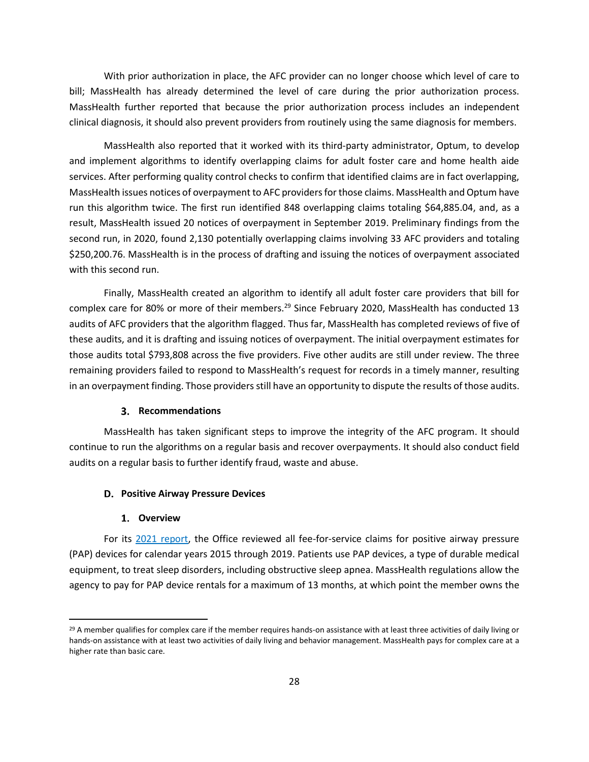With prior authorization in place, the AFC provider can no longer choose which level of care to bill; MassHealth has already determined the level of care during the prior authorization process. MassHealth further reported that because the prior authorization process includes an independent clinical diagnosis, it should also prevent providers from routinely using the same diagnosis for members.

MassHealth also reported that it worked with its third-party administrator, Optum, to develop and implement algorithms to identify overlapping claims for adult foster care and home health aide services. After performing quality control checks to confirm that identified claims are in fact overlapping, MassHealth issues notices of overpayment to AFC providers for those claims. MassHealth and Optum have run this algorithm twice. The first run identified 848 overlapping claims totaling \$64,885.04, and, as a result, MassHealth issued 20 notices of overpayment in September 2019. Preliminary findings from the second run, in 2020, found 2,130 potentially overlapping claims involving 33 AFC providers and totaling \$250,200.76. MassHealth is in the process of drafting and issuing the notices of overpayment associated with this second run.

Finally, MassHealth created an algorithm to identify all adult foster care providers that bill for complex care for 80% or more of their members.<sup>29</sup> Since February 2020, MassHealth has conducted 13 audits of AFC providers that the algorithm flagged. Thus far, MassHealth has completed reviews of five of these audits, and it is drafting and issuing notices of overpayment. The initial overpayment estimates for those audits total \$793,808 across the five providers. Five other audits are still under review. The three remaining providers failed to respond to MassHealth's request for records in a timely manner, resulting in an overpayment finding. Those providers still have an opportunity to dispute the results of those audits.

#### **Recommendations**

MassHealth has taken significant steps to improve the integrity of the AFC program. It should continue to run the algorithms on a regular basis and recover overpayments. It should also conduct field audits on a regular basis to further identify fraud, waste and abuse.

#### <span id="page-29-0"></span>**D. Positive Airway Pressure Devices**

#### **Overview**

For its [2021 report,](https://www.mass.gov/doc/masshealth-and-health-safety-net-2021-annual-report/download) the Office reviewed all fee-for-service claims for positive airway pressure (PAP) devices for calendar years 2015 through 2019. Patients use PAP devices, a type of durable medical equipment, to treat sleep disorders, including obstructive sleep apnea. MassHealth regulations allow the agency to pay for PAP device rentals for a maximum of 13 months, at which point the member owns the

<sup>&</sup>lt;sup>29</sup> A member qualifies for complex care if the member requires hands-on assistance with at least three activities of daily living or hands-on assistance with at least two activities of daily living and behavior management. MassHealth pays for complex care at a higher rate than basic care.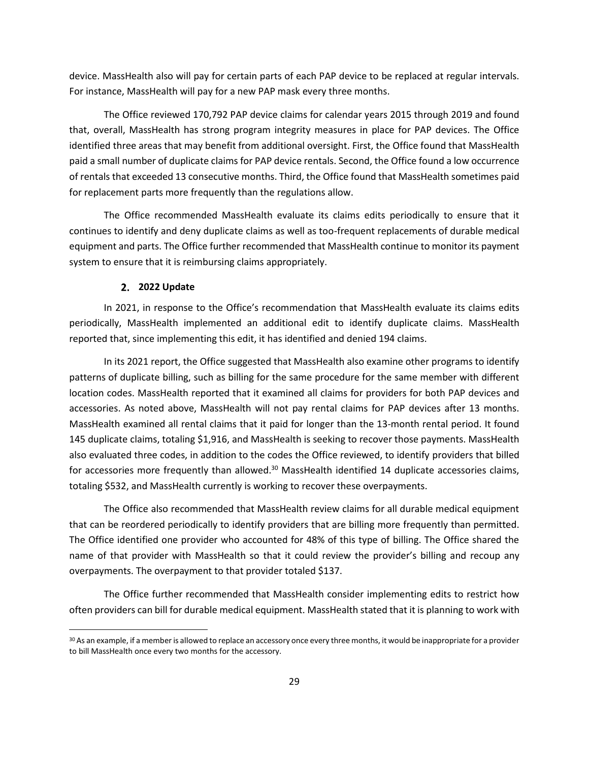device. MassHealth also will pay for certain parts of each PAP device to be replaced at regular intervals. For instance, MassHealth will pay for a new PAP mask every three months.

The Office reviewed 170,792 PAP device claims for calendar years 2015 through 2019 and found that, overall, MassHealth has strong program integrity measures in place for PAP devices. The Office identified three areas that may benefit from additional oversight. First, the Office found that MassHealth paid a small number of duplicate claims for PAP device rentals. Second, the Office found a low occurrence of rentals that exceeded 13 consecutive months. Third, the Office found that MassHealth sometimes paid for replacement parts more frequently than the regulations allow.

The Office recommended MassHealth evaluate its claims edits periodically to ensure that it continues to identify and deny duplicate claims as well as too-frequent replacements of durable medical equipment and parts. The Office further recommended that MassHealth continue to monitor its payment system to ensure that it is reimbursing claims appropriately.

#### **2. 2022 Update**

In 2021, in response to the Office's recommendation that MassHealth evaluate its claims edits periodically, MassHealth implemented an additional edit to identify duplicate claims. MassHealth reported that, since implementing this edit, it has identified and denied 194 claims.

In its 2021 report, the Office suggested that MassHealth also examine other programs to identify patterns of duplicate billing, such as billing for the same procedure for the same member with different location codes. MassHealth reported that it examined all claims for providers for both PAP devices and accessories. As noted above, MassHealth will not pay rental claims for PAP devices after 13 months. MassHealth examined all rental claims that it paid for longer than the 13-month rental period. It found 145 duplicate claims, totaling \$1,916, and MassHealth is seeking to recover those payments. MassHealth also evaluated three codes, in addition to the codes the Office reviewed, to identify providers that billed for accessories more frequently than allowed.<sup>30</sup> MassHealth identified 14 duplicate accessories claims, totaling \$532, and MassHealth currently is working to recover these overpayments.

The Office also recommended that MassHealth review claims for all durable medical equipment that can be reordered periodically to identify providers that are billing more frequently than permitted. The Office identified one provider who accounted for 48% of this type of billing. The Office shared the name of that provider with MassHealth so that it could review the provider's billing and recoup any overpayments. The overpayment to that provider totaled \$137.

The Office further recommended that MassHealth consider implementing edits to restrict how often providers can bill for durable medical equipment. MassHealth stated that it is planning to work with

<sup>&</sup>lt;sup>30</sup> As an example, if a member is allowed to replace an accessory once every three months, it would be inappropriate for a provider to bill MassHealth once every two months for the accessory.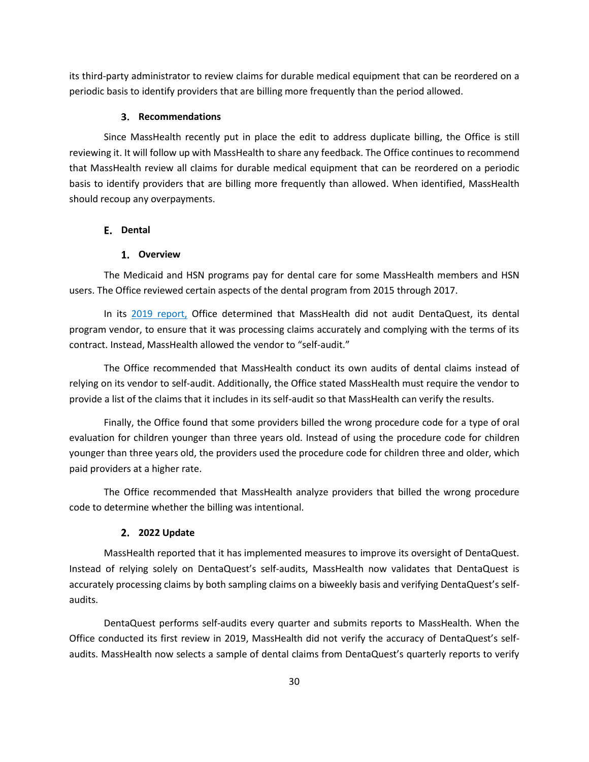its third-party administrator to review claims for durable medical equipment that can be reordered on a periodic basis to identify providers that are billing more frequently than the period allowed.

#### **Recommendations**

Since MassHealth recently put in place the edit to address duplicate billing, the Office is still reviewing it. It will follow up with MassHealth to share any feedback. The Office continues to recommend that MassHealth review all claims for durable medical equipment that can be reordered on a periodic basis to identify providers that are billing more frequently than allowed. When identified, MassHealth should recoup any overpayments.

#### <span id="page-31-0"></span>**Dental**

#### **Overview**

The Medicaid and HSN programs pay for dental care for some MassHealth members and HSN users. The Office reviewed certain aspects of the dental program from 2015 through 2017.

In its [2019 report,](https://www.mass.gov/doc/masshealth-and-health-safety-net-annual-report-march-2019/download) Office determined that MassHealth did not audit DentaQuest, its dental program vendor, to ensure that it was processing claims accurately and complying with the terms of its contract. Instead, MassHealth allowed the vendor to "self-audit."

The Office recommended that MassHealth conduct its own audits of dental claims instead of relying on its vendor to self-audit. Additionally, the Office stated MassHealth must require the vendor to provide a list of the claims that it includes in its self-audit so that MassHealth can verify the results.

Finally, the Office found that some providers billed the wrong procedure code for a type of oral evaluation for children younger than three years old. Instead of using the procedure code for children younger than three years old, the providers used the procedure code for children three and older, which paid providers at a higher rate.

The Office recommended that MassHealth analyze providers that billed the wrong procedure code to determine whether the billing was intentional.

#### **2022 Update**

MassHealth reported that it has implemented measures to improve its oversight of DentaQuest. Instead of relying solely on DentaQuest's self-audits, MassHealth now validates that DentaQuest is accurately processing claims by both sampling claims on a biweekly basis and verifying DentaQuest's selfaudits.

DentaQuest performs self-audits every quarter and submits reports to MassHealth. When the Office conducted its first review in 2019, MassHealth did not verify the accuracy of DentaQuest's selfaudits. MassHealth now selects a sample of dental claims from DentaQuest's quarterly reports to verify